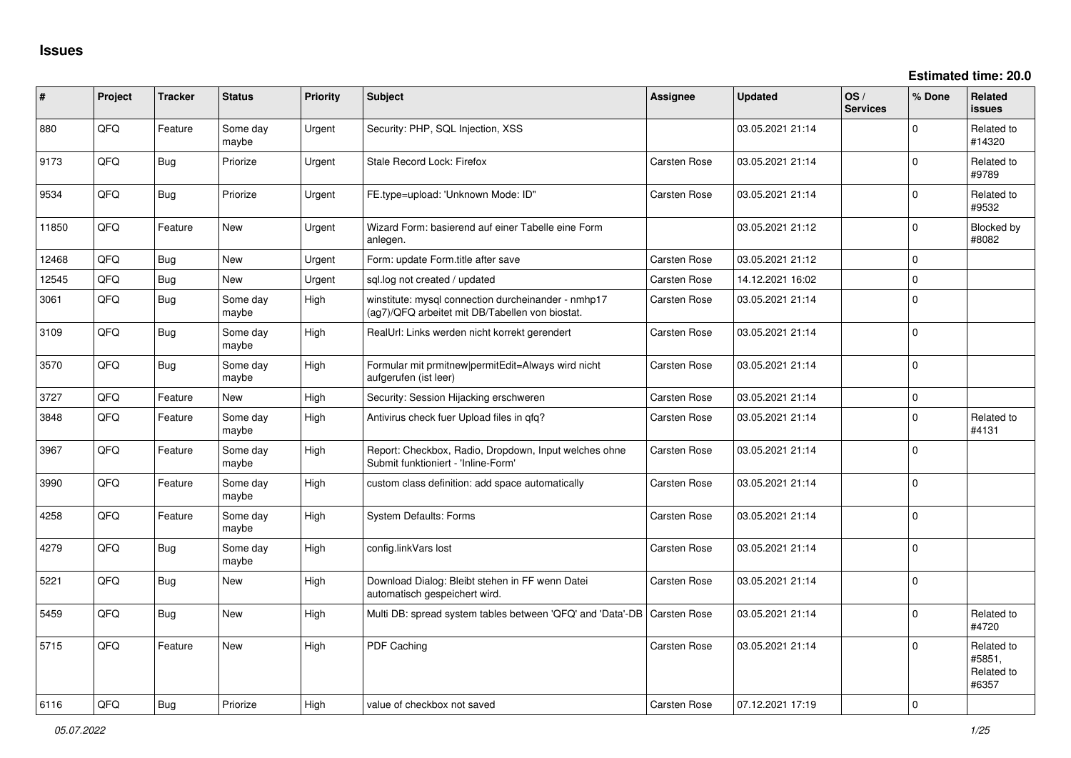| #     | Project | <b>Tracker</b> | <b>Status</b>     | <b>Priority</b> | <b>Subject</b>                                                                                         | <b>Assignee</b>     | <b>Updated</b>   | OS/<br><b>Services</b> | % Done      | Related<br>issues                           |
|-------|---------|----------------|-------------------|-----------------|--------------------------------------------------------------------------------------------------------|---------------------|------------------|------------------------|-------------|---------------------------------------------|
| 880   | QFQ     | Feature        | Some day<br>maybe | Urgent          | Security: PHP, SQL Injection, XSS                                                                      |                     | 03.05.2021 21:14 |                        | $\Omega$    | Related to<br>#14320                        |
| 9173  | QFQ     | <b>Bug</b>     | Priorize          | Urgent          | Stale Record Lock: Firefox                                                                             | Carsten Rose        | 03.05.2021 21:14 |                        | $\Omega$    | Related to<br>#9789                         |
| 9534  | QFQ     | Bug            | Priorize          | Urgent          | FE.type=upload: 'Unknown Mode: ID"                                                                     | Carsten Rose        | 03.05.2021 21:14 |                        | $\Omega$    | Related to<br>#9532                         |
| 11850 | QFQ     | Feature        | <b>New</b>        | Urgent          | Wizard Form: basierend auf einer Tabelle eine Form<br>anlegen.                                         |                     | 03.05.2021 21:12 |                        | $\mathbf 0$ | Blocked by<br>#8082                         |
| 12468 | QFQ     | Bug            | <b>New</b>        | Urgent          | Form: update Form.title after save                                                                     | Carsten Rose        | 03.05.2021 21:12 |                        | $\mathbf 0$ |                                             |
| 12545 | QFQ     | Bug            | <b>New</b>        | Urgent          | sgl.log not created / updated                                                                          | Carsten Rose        | 14.12.2021 16:02 |                        | $\mathbf 0$ |                                             |
| 3061  | QFQ     | <b>Bug</b>     | Some day<br>maybe | High            | winstitute: mysql connection durcheinander - nmhp17<br>(ag7)/QFQ arbeitet mit DB/Tabellen von biostat. | Carsten Rose        | 03.05.2021 21:14 |                        | $\mathbf 0$ |                                             |
| 3109  | QFQ     | <b>Bug</b>     | Some day<br>maybe | High            | RealUrl: Links werden nicht korrekt gerendert                                                          | Carsten Rose        | 03.05.2021 21:14 |                        | $\Omega$    |                                             |
| 3570  | QFQ     | Bug            | Some day<br>maybe | High            | Formular mit prmitnew permitEdit=Always wird nicht<br>aufgerufen (ist leer)                            | Carsten Rose        | 03.05.2021 21:14 |                        | $\mathbf 0$ |                                             |
| 3727  | QFQ     | Feature        | <b>New</b>        | High            | Security: Session Hijacking erschweren                                                                 | Carsten Rose        | 03.05.2021 21:14 |                        | $\mathbf 0$ |                                             |
| 3848  | QFQ     | Feature        | Some day<br>maybe | High            | Antivirus check fuer Upload files in qfq?                                                              | Carsten Rose        | 03.05.2021 21:14 |                        | $\Omega$    | Related to<br>#4131                         |
| 3967  | QFQ     | Feature        | Some day<br>maybe | High            | Report: Checkbox, Radio, Dropdown, Input welches ohne<br>Submit funktioniert - 'Inline-Form'           | Carsten Rose        | 03.05.2021 21:14 |                        | $\mathbf 0$ |                                             |
| 3990  | QFQ     | Feature        | Some day<br>maybe | High            | custom class definition: add space automatically                                                       | Carsten Rose        | 03.05.2021 21:14 |                        | $\mathbf 0$ |                                             |
| 4258  | QFQ     | Feature        | Some day<br>maybe | High            | <b>System Defaults: Forms</b>                                                                          | Carsten Rose        | 03.05.2021 21:14 |                        | $\Omega$    |                                             |
| 4279  | QFQ     | <b>Bug</b>     | Some day<br>maybe | High            | config.linkVars lost                                                                                   | Carsten Rose        | 03.05.2021 21:14 |                        | $\mathbf 0$ |                                             |
| 5221  | QFQ     | Bug            | <b>New</b>        | High            | Download Dialog: Bleibt stehen in FF wenn Datei<br>automatisch gespeichert wird.                       | Carsten Rose        | 03.05.2021 21:14 |                        | $\Omega$    |                                             |
| 5459  | QFQ     | <b>Bug</b>     | <b>New</b>        | High            | Multi DB: spread system tables between 'QFQ' and 'Data'-DB                                             | <b>Carsten Rose</b> | 03.05.2021 21:14 |                        | $\Omega$    | Related to<br>#4720                         |
| 5715  | QFQ     | Feature        | <b>New</b>        | High            | PDF Caching                                                                                            | Carsten Rose        | 03.05.2021 21:14 |                        | $\Omega$    | Related to<br>#5851,<br>Related to<br>#6357 |
| 6116  | QFQ     | <b>Bug</b>     | Priorize          | High            | value of checkbox not saved                                                                            | Carsten Rose        | 07.12.2021 17:19 |                        | $\Omega$    |                                             |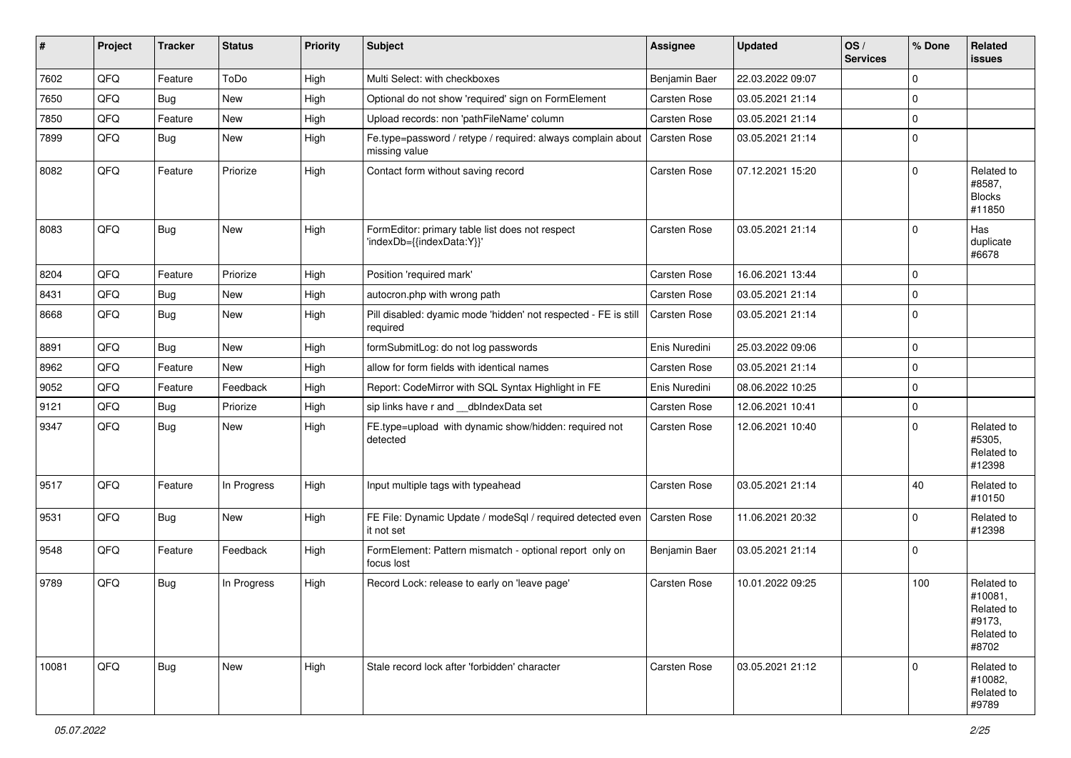| #     | Project | <b>Tracker</b> | <b>Status</b> | <b>Priority</b> | <b>Subject</b>                                                               | Assignee            | <b>Updated</b>   | OS/<br><b>Services</b> | % Done      | Related<br><b>issues</b>                                             |
|-------|---------|----------------|---------------|-----------------|------------------------------------------------------------------------------|---------------------|------------------|------------------------|-------------|----------------------------------------------------------------------|
| 7602  | QFQ     | Feature        | ToDo          | High            | Multi Select: with checkboxes                                                | Benjamin Baer       | 22.03.2022 09:07 |                        | $\Omega$    |                                                                      |
| 7650  | QFQ     | Bug            | <b>New</b>    | High            | Optional do not show 'required' sign on FormElement                          | Carsten Rose        | 03.05.2021 21:14 |                        | $\mathbf 0$ |                                                                      |
| 7850  | QFQ     | Feature        | New           | High            | Upload records: non 'pathFileName' column                                    | Carsten Rose        | 03.05.2021 21:14 |                        | $\Omega$    |                                                                      |
| 7899  | QFQ     | Bug            | <b>New</b>    | High            | Fe.type=password / retype / required: always complain about<br>missing value | Carsten Rose        | 03.05.2021 21:14 |                        | $\Omega$    |                                                                      |
| 8082  | QFQ     | Feature        | Priorize      | High            | Contact form without saving record                                           | Carsten Rose        | 07.12.2021 15:20 |                        | $\Omega$    | Related to<br>#8587,<br><b>Blocks</b><br>#11850                      |
| 8083  | QFQ     | <b>Bug</b>     | <b>New</b>    | High            | FormEditor: primary table list does not respect<br>'indexDb={{indexData:Y}}' | <b>Carsten Rose</b> | 03.05.2021 21:14 |                        | $\Omega$    | Has<br>duplicate<br>#6678                                            |
| 8204  | QFQ     | Feature        | Priorize      | High            | Position 'required mark'                                                     | <b>Carsten Rose</b> | 16.06.2021 13:44 |                        | $\mathbf 0$ |                                                                      |
| 8431  | QFQ     | <b>Bug</b>     | <b>New</b>    | High            | autocron.php with wrong path                                                 | <b>Carsten Rose</b> | 03.05.2021 21:14 |                        | $\Omega$    |                                                                      |
| 8668  | QFQ     | Bug            | <b>New</b>    | High            | Pill disabled: dyamic mode 'hidden' not respected - FE is still<br>required  | <b>Carsten Rose</b> | 03.05.2021 21:14 |                        | $\Omega$    |                                                                      |
| 8891  | QFQ     | Bug            | New           | High            | formSubmitLog: do not log passwords                                          | Enis Nuredini       | 25.03.2022 09:06 |                        | $\mathbf 0$ |                                                                      |
| 8962  | QFQ     | Feature        | <b>New</b>    | High            | allow for form fields with identical names                                   | <b>Carsten Rose</b> | 03.05.2021 21:14 |                        | $\mathbf 0$ |                                                                      |
| 9052  | QFQ     | Feature        | Feedback      | High            | Report: CodeMirror with SQL Syntax Highlight in FE                           | Enis Nuredini       | 08.06.2022 10:25 |                        | $\mathbf 0$ |                                                                      |
| 9121  | QFQ     | Bug            | Priorize      | High            | sip links have r and __dbIndexData set                                       | <b>Carsten Rose</b> | 12.06.2021 10:41 |                        | $\mathbf 0$ |                                                                      |
| 9347  | QFQ     | Bug            | <b>New</b>    | High            | FE.type=upload with dynamic show/hidden: required not<br>detected            | Carsten Rose        | 12.06.2021 10:40 |                        | $\Omega$    | Related to<br>#5305,<br>Related to<br>#12398                         |
| 9517  | QFQ     | Feature        | In Progress   | High            | Input multiple tags with typeahead                                           | Carsten Rose        | 03.05.2021 21:14 |                        | 40          | Related to<br>#10150                                                 |
| 9531  | QFQ     | Bug            | New           | High            | FE File: Dynamic Update / modeSql / required detected even<br>it not set     | <b>Carsten Rose</b> | 11.06.2021 20:32 |                        | $\Omega$    | Related to<br>#12398                                                 |
| 9548  | QFQ     | Feature        | Feedback      | High            | FormElement: Pattern mismatch - optional report only on<br>focus lost        | Benjamin Baer       | 03.05.2021 21:14 |                        | $\Omega$    |                                                                      |
| 9789  | QFQ     | Bug            | In Progress   | High            | Record Lock: release to early on 'leave page'                                | Carsten Rose        | 10.01.2022 09:25 |                        | 100         | Related to<br>#10081,<br>Related to<br>#9173,<br>Related to<br>#8702 |
| 10081 | QFQ     | Bug            | New           | High            | Stale record lock after 'forbidden' character                                | <b>Carsten Rose</b> | 03.05.2021 21:12 |                        | $\Omega$    | Related to<br>#10082.<br>Related to<br>#9789                         |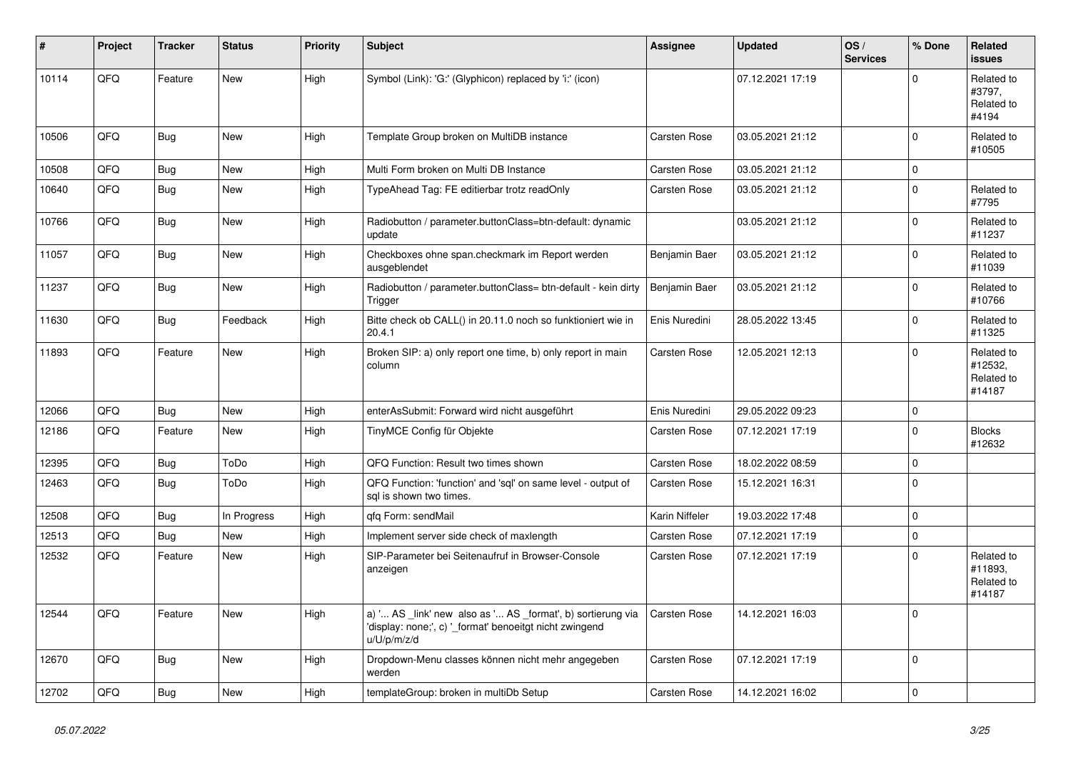| #     | Project | <b>Tracker</b> | <b>Status</b> | <b>Priority</b> | <b>Subject</b>                                                                                                                        | Assignee            | <b>Updated</b>   | OS/<br><b>Services</b> | % Done      | Related<br><b>issues</b>                      |
|-------|---------|----------------|---------------|-----------------|---------------------------------------------------------------------------------------------------------------------------------------|---------------------|------------------|------------------------|-------------|-----------------------------------------------|
| 10114 | QFQ     | Feature        | New           | High            | Symbol (Link): 'G:' (Glyphicon) replaced by 'i:' (icon)                                                                               |                     | 07.12.2021 17:19 |                        | $\Omega$    | Related to<br>#3797,<br>Related to<br>#4194   |
| 10506 | QFQ     | Bug            | New           | High            | Template Group broken on MultiDB instance                                                                                             | Carsten Rose        | 03.05.2021 21:12 |                        | $\mathbf 0$ | Related to<br>#10505                          |
| 10508 | QFQ     | <b>Bug</b>     | <b>New</b>    | High            | Multi Form broken on Multi DB Instance                                                                                                | <b>Carsten Rose</b> | 03.05.2021 21:12 |                        | $\pmb{0}$   |                                               |
| 10640 | QFQ     | <b>Bug</b>     | <b>New</b>    | High            | TypeAhead Tag: FE editierbar trotz readOnly                                                                                           | Carsten Rose        | 03.05.2021 21:12 |                        | $\mathbf 0$ | Related to<br>#7795                           |
| 10766 | QFQ     | <b>Bug</b>     | New           | High            | Radiobutton / parameter.buttonClass=btn-default: dynamic<br>update                                                                    |                     | 03.05.2021 21:12 |                        | $\mathbf 0$ | Related to<br>#11237                          |
| 11057 | QFQ     | Bug            | <b>New</b>    | High            | Checkboxes ohne span.checkmark im Report werden<br>ausgeblendet                                                                       | Benjamin Baer       | 03.05.2021 21:12 |                        | $\mathbf 0$ | Related to<br>#11039                          |
| 11237 | QFQ     | <b>Bug</b>     | <b>New</b>    | High            | Radiobutton / parameter.buttonClass= btn-default - kein dirty<br>Trigger                                                              | Benjamin Baer       | 03.05.2021 21:12 |                        | $\mathbf 0$ | Related to<br>#10766                          |
| 11630 | QFQ     | Bug            | Feedback      | High            | Bitte check ob CALL() in 20.11.0 noch so funktioniert wie in<br>20.4.1                                                                | Enis Nuredini       | 28.05.2022 13:45 |                        | $\mathbf 0$ | Related to<br>#11325                          |
| 11893 | QFQ     | Feature        | New           | High            | Broken SIP: a) only report one time, b) only report in main<br>column                                                                 | <b>Carsten Rose</b> | 12.05.2021 12:13 |                        | $\mathbf 0$ | Related to<br>#12532.<br>Related to<br>#14187 |
| 12066 | QFQ     | Bug            | <b>New</b>    | High            | enterAsSubmit: Forward wird nicht ausgeführt                                                                                          | Enis Nuredini       | 29.05.2022 09:23 |                        | $\mathbf 0$ |                                               |
| 12186 | QFQ     | Feature        | <b>New</b>    | High            | TinyMCE Config für Objekte                                                                                                            | <b>Carsten Rose</b> | 07.12.2021 17:19 |                        | $\mathbf 0$ | <b>Blocks</b><br>#12632                       |
| 12395 | QFQ     | <b>Bug</b>     | ToDo          | High            | QFQ Function: Result two times shown                                                                                                  | Carsten Rose        | 18.02.2022 08:59 |                        | $\Omega$    |                                               |
| 12463 | QFQ     | Bug            | ToDo          | High            | QFQ Function: 'function' and 'sgl' on same level - output of<br>sal is shown two times.                                               | Carsten Rose        | 15.12.2021 16:31 |                        | $\mathbf 0$ |                                               |
| 12508 | QFQ     | Bug            | In Progress   | High            | qfq Form: sendMail                                                                                                                    | Karin Niffeler      | 19.03.2022 17:48 |                        | $\mathbf 0$ |                                               |
| 12513 | QFQ     | Bug            | New           | High            | Implement server side check of maxlength                                                                                              | Carsten Rose        | 07.12.2021 17:19 |                        | $\mathbf 0$ |                                               |
| 12532 | QFQ     | Feature        | <b>New</b>    | High            | SIP-Parameter bei Seitenaufruf in Browser-Console<br>anzeigen                                                                         | <b>Carsten Rose</b> | 07.12.2021 17:19 |                        | $\mathbf 0$ | Related to<br>#11893,<br>Related to<br>#14187 |
| 12544 | QFQ     | Feature        | <b>New</b>    | High            | a) ' AS _link' new also as ' AS _format', b) sortierung via<br>'display: none;', c) ' format' benoeitgt nicht zwingend<br>u/U/p/m/z/d | <b>Carsten Rose</b> | 14.12.2021 16:03 |                        | $\mathbf 0$ |                                               |
| 12670 | QFQ     | <b>Bug</b>     | New           | High            | Dropdown-Menu classes können nicht mehr angegeben<br>werden                                                                           | Carsten Rose        | 07.12.2021 17:19 |                        | $\Omega$    |                                               |
| 12702 | QFQ     | Bug            | <b>New</b>    | High            | templateGroup: broken in multiDb Setup                                                                                                | Carsten Rose        | 14.12.2021 16:02 |                        | $\mathbf 0$ |                                               |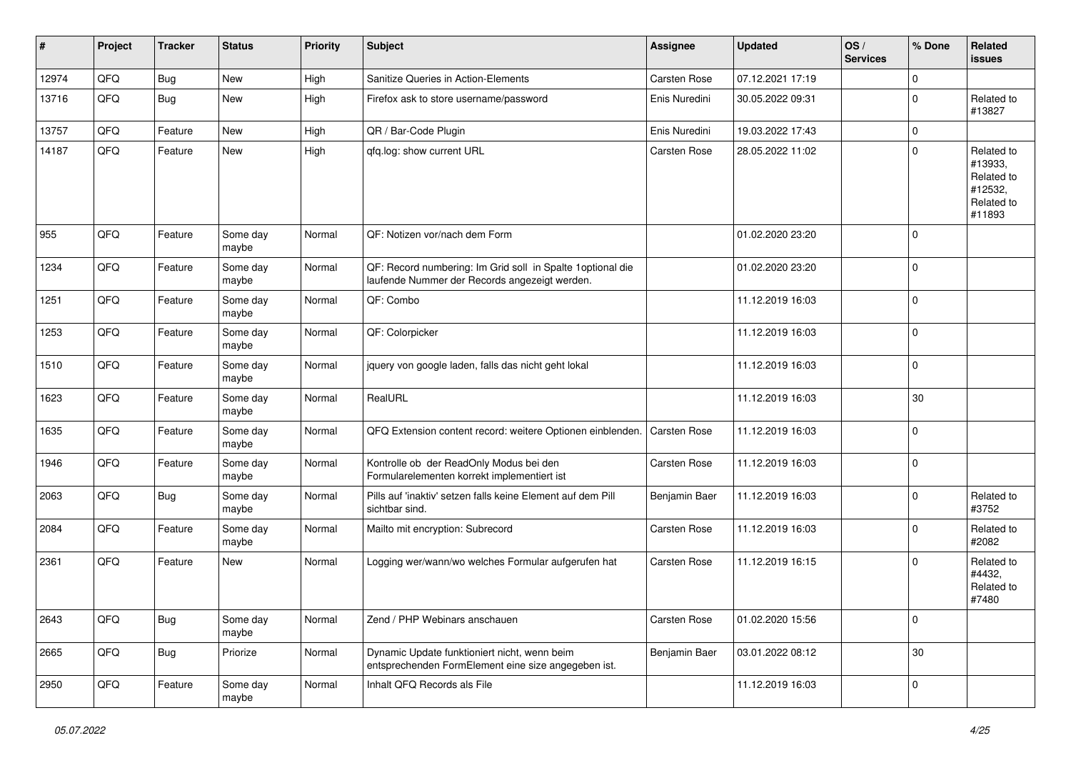| #     | Project | <b>Tracker</b> | <b>Status</b>     | <b>Priority</b> | <b>Subject</b>                                                                                               | Assignee            | <b>Updated</b>   | OS/<br><b>Services</b> | % Done      | Related<br><b>issues</b>                                               |
|-------|---------|----------------|-------------------|-----------------|--------------------------------------------------------------------------------------------------------------|---------------------|------------------|------------------------|-------------|------------------------------------------------------------------------|
| 12974 | QFQ     | <b>Bug</b>     | New               | High            | Sanitize Queries in Action-Elements                                                                          | Carsten Rose        | 07.12.2021 17:19 |                        | $\mathbf 0$ |                                                                        |
| 13716 | QFQ     | <b>Bug</b>     | New               | High            | Firefox ask to store username/password                                                                       | Enis Nuredini       | 30.05.2022 09:31 |                        | $\mathbf 0$ | Related to<br>#13827                                                   |
| 13757 | QFQ     | Feature        | <b>New</b>        | High            | QR / Bar-Code Plugin                                                                                         | Enis Nuredini       | 19.03.2022 17:43 |                        | $\mathsf 0$ |                                                                        |
| 14187 | QFQ     | Feature        | New               | High            | gfg.log: show current URL                                                                                    | <b>Carsten Rose</b> | 28.05.2022 11:02 |                        | $\mathbf 0$ | Related to<br>#13933,<br>Related to<br>#12532,<br>Related to<br>#11893 |
| 955   | QFQ     | Feature        | Some day<br>maybe | Normal          | QF: Notizen vor/nach dem Form                                                                                |                     | 01.02.2020 23:20 |                        | $\mathbf 0$ |                                                                        |
| 1234  | QFQ     | Feature        | Some day<br>maybe | Normal          | QF: Record numbering: Im Grid soll in Spalte 1 optional die<br>laufende Nummer der Records angezeigt werden. |                     | 01.02.2020 23:20 |                        | $\mathbf 0$ |                                                                        |
| 1251  | QFQ     | Feature        | Some day<br>maybe | Normal          | QF: Combo                                                                                                    |                     | 11.12.2019 16:03 |                        | $\mathbf 0$ |                                                                        |
| 1253  | QFQ     | Feature        | Some day<br>maybe | Normal          | QF: Colorpicker                                                                                              |                     | 11.12.2019 16:03 |                        | $\mathbf 0$ |                                                                        |
| 1510  | QFQ     | Feature        | Some day<br>maybe | Normal          | jquery von google laden, falls das nicht geht lokal                                                          |                     | 11.12.2019 16:03 |                        | $\mathbf 0$ |                                                                        |
| 1623  | QFQ     | Feature        | Some day<br>maybe | Normal          | RealURL                                                                                                      |                     | 11.12.2019 16:03 |                        | 30          |                                                                        |
| 1635  | QFQ     | Feature        | Some day<br>maybe | Normal          | QFQ Extension content record: weitere Optionen einblenden.                                                   | Carsten Rose        | 11.12.2019 16:03 |                        | $\pmb{0}$   |                                                                        |
| 1946  | QFQ     | Feature        | Some day<br>maybe | Normal          | Kontrolle ob der ReadOnly Modus bei den<br>Formularelementen korrekt implementiert ist                       | Carsten Rose        | 11.12.2019 16:03 |                        | $\mathbf 0$ |                                                                        |
| 2063  | QFQ     | Bug            | Some day<br>maybe | Normal          | Pills auf 'inaktiv' setzen falls keine Element auf dem Pill<br>sichtbar sind.                                | Benjamin Baer       | 11.12.2019 16:03 |                        | $\mathbf 0$ | Related to<br>#3752                                                    |
| 2084  | QFQ     | Feature        | Some day<br>maybe | Normal          | Mailto mit encryption: Subrecord                                                                             | Carsten Rose        | 11.12.2019 16:03 |                        | $\mathbf 0$ | Related to<br>#2082                                                    |
| 2361  | QFQ     | Feature        | New               | Normal          | Logging wer/wann/wo welches Formular aufgerufen hat                                                          | <b>Carsten Rose</b> | 11.12.2019 16:15 |                        | $\mathbf 0$ | Related to<br>#4432,<br>Related to<br>#7480                            |
| 2643  | QFO     | <b>Bug</b>     | Some day<br>maybe | Normal          | Zend / PHP Webinars anschauen                                                                                | Carsten Rose        | 01.02.2020 15:56 |                        | $\pmb{0}$   |                                                                        |
| 2665  | QFO     | <b>Bug</b>     | Priorize          | Normal          | Dynamic Update funktioniert nicht, wenn beim<br>entsprechenden FormElement eine size angegeben ist.          | Benjamin Baer       | 03.01.2022 08:12 |                        | $30\,$      |                                                                        |
| 2950  | QFO     | Feature        | Some day<br>maybe | Normal          | Inhalt QFQ Records als File                                                                                  |                     | 11.12.2019 16:03 |                        | $\mathbf 0$ |                                                                        |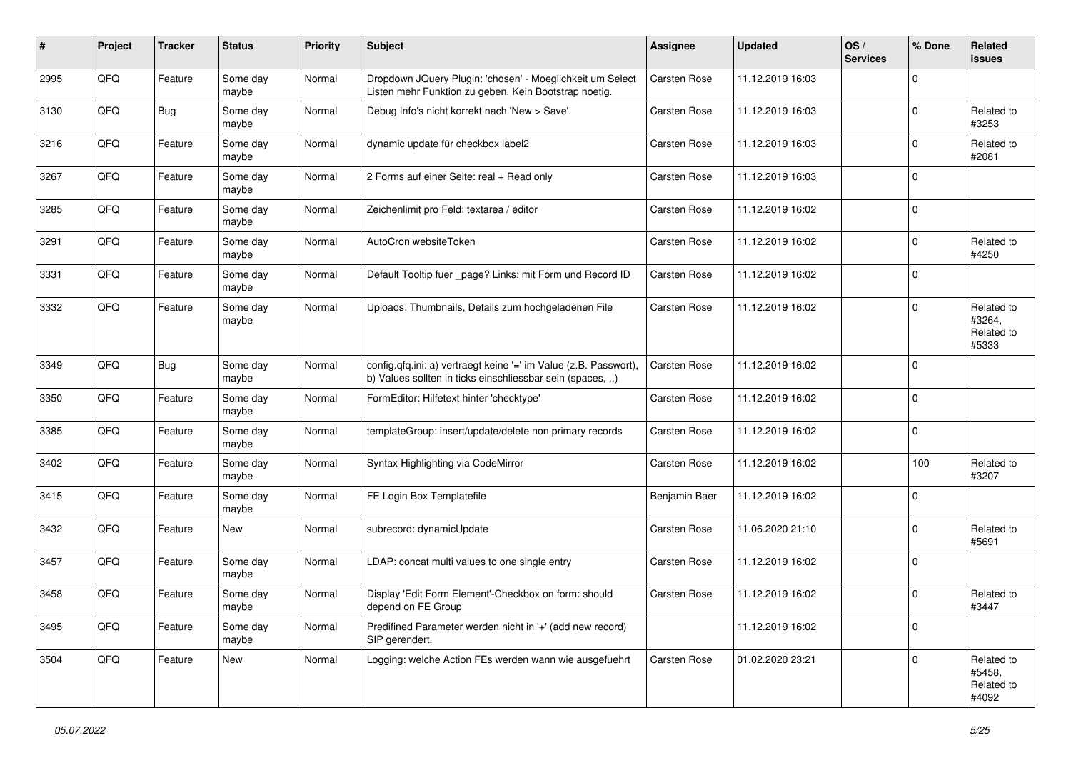| #    | Project | <b>Tracker</b> | <b>Status</b>     | <b>Priority</b> | <b>Subject</b>                                                                                                                | <b>Assignee</b>     | <b>Updated</b>   | OS/<br><b>Services</b> | % Done      | Related<br><b>issues</b>                    |
|------|---------|----------------|-------------------|-----------------|-------------------------------------------------------------------------------------------------------------------------------|---------------------|------------------|------------------------|-------------|---------------------------------------------|
| 2995 | QFQ     | Feature        | Some day<br>maybe | Normal          | Dropdown JQuery Plugin: 'chosen' - Moeglichkeit um Select<br>Listen mehr Funktion zu geben. Kein Bootstrap noetig.            | <b>Carsten Rose</b> | 11.12.2019 16:03 |                        | $\mathbf 0$ |                                             |
| 3130 | QFQ     | <b>Bug</b>     | Some day<br>maybe | Normal          | Debug Info's nicht korrekt nach 'New > Save'.                                                                                 | <b>Carsten Rose</b> | 11.12.2019 16:03 |                        | $\mathbf 0$ | Related to<br>#3253                         |
| 3216 | QFQ     | Feature        | Some day<br>maybe | Normal          | dynamic update für checkbox label2                                                                                            | <b>Carsten Rose</b> | 11.12.2019 16:03 |                        | 0           | Related to<br>#2081                         |
| 3267 | QFQ     | Feature        | Some day<br>maybe | Normal          | 2 Forms auf einer Seite: real + Read only                                                                                     | <b>Carsten Rose</b> | 11.12.2019 16:03 |                        | $\mathbf 0$ |                                             |
| 3285 | QFQ     | Feature        | Some day<br>maybe | Normal          | Zeichenlimit pro Feld: textarea / editor                                                                                      | <b>Carsten Rose</b> | 11.12.2019 16:02 |                        | $\mathbf 0$ |                                             |
| 3291 | QFQ     | Feature        | Some day<br>maybe | Normal          | AutoCron websiteToken                                                                                                         | <b>Carsten Rose</b> | 11.12.2019 16:02 |                        | $\mathbf 0$ | Related to<br>#4250                         |
| 3331 | QFQ     | Feature        | Some day<br>maybe | Normal          | Default Tooltip fuer _page? Links: mit Form und Record ID                                                                     | <b>Carsten Rose</b> | 11.12.2019 16:02 |                        | $\mathbf 0$ |                                             |
| 3332 | QFQ     | Feature        | Some day<br>maybe | Normal          | Uploads: Thumbnails, Details zum hochgeladenen File                                                                           | <b>Carsten Rose</b> | 11.12.2019 16:02 |                        | $\mathbf 0$ | Related to<br>#3264,<br>Related to<br>#5333 |
| 3349 | QFQ     | <b>Bug</b>     | Some day<br>maybe | Normal          | config.qfq.ini: a) vertraegt keine '=' im Value (z.B. Passwort),<br>b) Values sollten in ticks einschliessbar sein (spaces, ) | <b>Carsten Rose</b> | 11.12.2019 16:02 |                        | $\mathbf 0$ |                                             |
| 3350 | QFQ     | Feature        | Some day<br>maybe | Normal          | FormEditor: Hilfetext hinter 'checktype'                                                                                      | <b>Carsten Rose</b> | 11.12.2019 16:02 |                        | $\mathbf 0$ |                                             |
| 3385 | QFQ     | Feature        | Some day<br>maybe | Normal          | templateGroup: insert/update/delete non primary records                                                                       | <b>Carsten Rose</b> | 11.12.2019 16:02 |                        | $\mathbf 0$ |                                             |
| 3402 | QFQ     | Feature        | Some day<br>maybe | Normal          | Syntax Highlighting via CodeMirror                                                                                            | <b>Carsten Rose</b> | 11.12.2019 16:02 |                        | 100         | Related to<br>#3207                         |
| 3415 | QFQ     | Feature        | Some day<br>maybe | Normal          | FE Login Box Templatefile                                                                                                     | Benjamin Baer       | 11.12.2019 16:02 |                        | $\mathbf 0$ |                                             |
| 3432 | QFQ     | Feature        | New               | Normal          | subrecord: dynamicUpdate                                                                                                      | <b>Carsten Rose</b> | 11.06.2020 21:10 |                        | $\mathbf 0$ | Related to<br>#5691                         |
| 3457 | QFQ     | Feature        | Some day<br>maybe | Normal          | LDAP: concat multi values to one single entry                                                                                 | Carsten Rose        | 11.12.2019 16:02 |                        | $\mathbf 0$ |                                             |
| 3458 | QFQ     | Feature        | Some day<br>maybe | Normal          | Display 'Edit Form Element'-Checkbox on form: should<br>depend on FE Group                                                    | <b>Carsten Rose</b> | 11.12.2019 16:02 |                        | $\mathbf 0$ | Related to<br>#3447                         |
| 3495 | QFQ     | Feature        | Some day<br>maybe | Normal          | Predifined Parameter werden nicht in '+' (add new record)<br>SIP gerendert.                                                   |                     | 11.12.2019 16:02 |                        | $\mathbf 0$ |                                             |
| 3504 | QFQ     | Feature        | New               | Normal          | Logging: welche Action FEs werden wann wie ausgefuehrt                                                                        | Carsten Rose        | 01.02.2020 23:21 |                        | $\mathbf 0$ | Related to<br>#5458,<br>Related to<br>#4092 |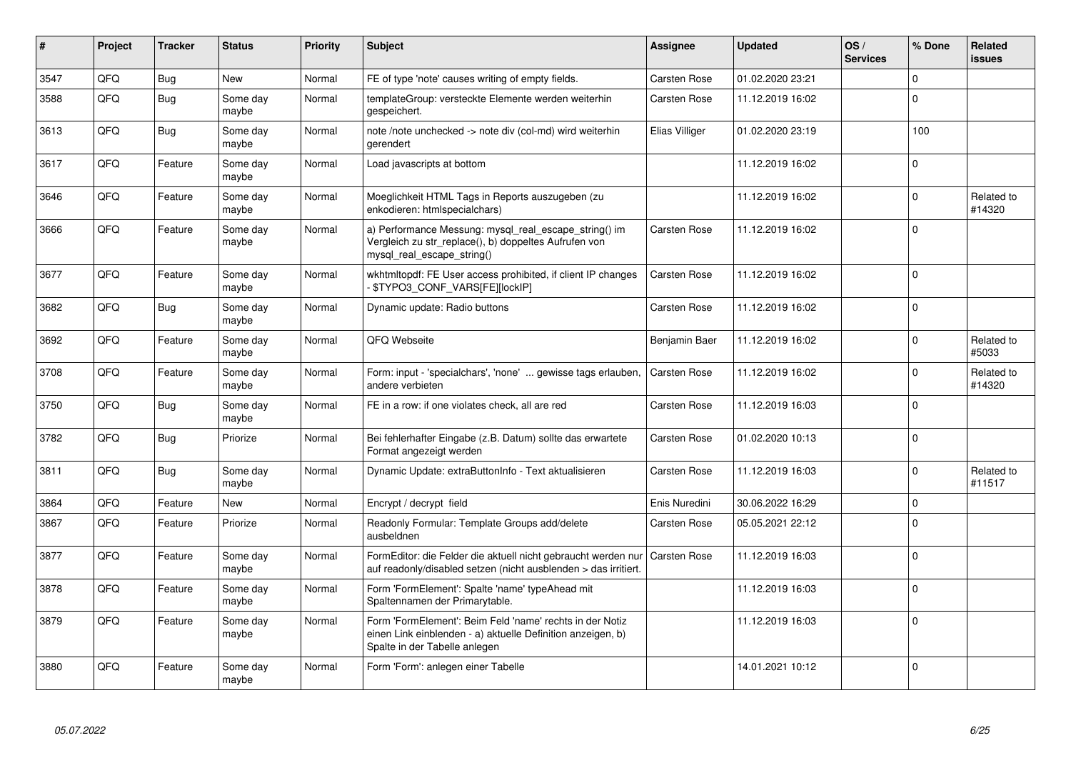| $\vert$ # | Project    | <b>Tracker</b> | <b>Status</b>     | <b>Priority</b> | <b>Subject</b>                                                                                                                                           | Assignee            | <b>Updated</b>   | OS/<br><b>Services</b> | % Done      | Related<br><b>issues</b> |
|-----------|------------|----------------|-------------------|-----------------|----------------------------------------------------------------------------------------------------------------------------------------------------------|---------------------|------------------|------------------------|-------------|--------------------------|
| 3547      | QFQ        | <b>Bug</b>     | <b>New</b>        | Normal          | FE of type 'note' causes writing of empty fields.                                                                                                        | <b>Carsten Rose</b> | 01.02.2020 23:21 |                        | $\Omega$    |                          |
| 3588      | QFQ        | <b>Bug</b>     | Some dav<br>maybe | Normal          | templateGroup: versteckte Elemente werden weiterhin<br>gespeichert.                                                                                      | <b>Carsten Rose</b> | 11.12.2019 16:02 |                        | $\Omega$    |                          |
| 3613      | QFQ        | <b>Bug</b>     | Some day<br>maybe | Normal          | note /note unchecked -> note div (col-md) wird weiterhin<br>gerendert                                                                                    | Elias Villiger      | 01.02.2020 23:19 |                        | 100         |                          |
| 3617      | QFQ        | Feature        | Some day<br>maybe | Normal          | Load javascripts at bottom                                                                                                                               |                     | 11.12.2019 16:02 |                        | $\Omega$    |                          |
| 3646      | QFQ        | Feature        | Some day<br>maybe | Normal          | Moeglichkeit HTML Tags in Reports auszugeben (zu<br>enkodieren: htmlspecialchars)                                                                        |                     | 11.12.2019 16:02 |                        | $\mathbf 0$ | Related to<br>#14320     |
| 3666      | QFQ        | Feature        | Some day<br>maybe | Normal          | a) Performance Messung: mysql_real_escape_string() im<br>Vergleich zu str replace(), b) doppeltes Aufrufen von<br>mysql_real_escape_string()             | <b>Carsten Rose</b> | 11.12.2019 16:02 |                        | $\Omega$    |                          |
| 3677      | QFQ        | Feature        | Some day<br>maybe | Normal          | wkhtmitopdf: FE User access prohibited, if client IP changes<br>\$TYPO3 CONF VARS[FE][lockIP]                                                            | <b>Carsten Rose</b> | 11.12.2019 16:02 |                        | $\Omega$    |                          |
| 3682      | QFQ        | <b>Bug</b>     | Some day<br>maybe | Normal          | Dynamic update: Radio buttons                                                                                                                            | <b>Carsten Rose</b> | 11.12.2019 16:02 |                        | $\Omega$    |                          |
| 3692      | QFQ        | Feature        | Some day<br>maybe | Normal          | QFQ Webseite                                                                                                                                             | Benjamin Baer       | 11.12.2019 16:02 |                        | $\Omega$    | Related to<br>#5033      |
| 3708      | QFQ        | Feature        | Some day<br>maybe | Normal          | Form: input - 'specialchars', 'none'  gewisse tags erlauben,<br>andere verbieten                                                                         | <b>Carsten Rose</b> | 11.12.2019 16:02 |                        | $\Omega$    | Related to<br>#14320     |
| 3750      | QFQ        | <b>Bug</b>     | Some day<br>maybe | Normal          | FE in a row: if one violates check, all are red                                                                                                          | <b>Carsten Rose</b> | 11.12.2019 16:03 |                        | $\Omega$    |                          |
| 3782      | QFQ        | <b>Bug</b>     | Priorize          | Normal          | Bei fehlerhafter Eingabe (z.B. Datum) sollte das erwartete<br>Format angezeigt werden                                                                    | <b>Carsten Rose</b> | 01.02.2020 10:13 |                        | $\Omega$    |                          |
| 3811      | QFQ        | Bug            | Some day<br>maybe | Normal          | Dynamic Update: extraButtonInfo - Text aktualisieren                                                                                                     | <b>Carsten Rose</b> | 11.12.2019 16:03 |                        | $\Omega$    | Related to<br>#11517     |
| 3864      | QFQ        | Feature        | <b>New</b>        | Normal          | Encrypt / decrypt field                                                                                                                                  | Enis Nuredini       | 30.06.2022 16:29 |                        | $\mathbf 0$ |                          |
| 3867      | QFQ        | Feature        | Priorize          | Normal          | Readonly Formular: Template Groups add/delete<br>ausbeldnen                                                                                              | <b>Carsten Rose</b> | 05.05.2021 22:12 |                        | $\Omega$    |                          |
| 3877      | <b>OFO</b> | Feature        | Some day<br>maybe | Normal          | FormEditor: die Felder die aktuell nicht gebraucht werden nur<br>auf readonly/disabled setzen (nicht ausblenden > das irritiert.                         | <b>Carsten Rose</b> | 11.12.2019 16:03 |                        | $\Omega$    |                          |
| 3878      | QFQ        | Feature        | Some day<br>maybe | Normal          | Form 'FormElement': Spalte 'name' typeAhead mit<br>Spaltennamen der Primarytable.                                                                        |                     | 11.12.2019 16:03 |                        | $\Omega$    |                          |
| 3879      | QFQ        | Feature        | Some day<br>maybe | Normal          | Form 'FormElement': Beim Feld 'name' rechts in der Notiz<br>einen Link einblenden - a) aktuelle Definition anzeigen, b)<br>Spalte in der Tabelle anlegen |                     | 11.12.2019 16:03 |                        | $\Omega$    |                          |
| 3880      | QFQ        | Feature        | Some day<br>maybe | Normal          | Form 'Form': anlegen einer Tabelle                                                                                                                       |                     | 14.01.2021 10:12 |                        | $\Omega$    |                          |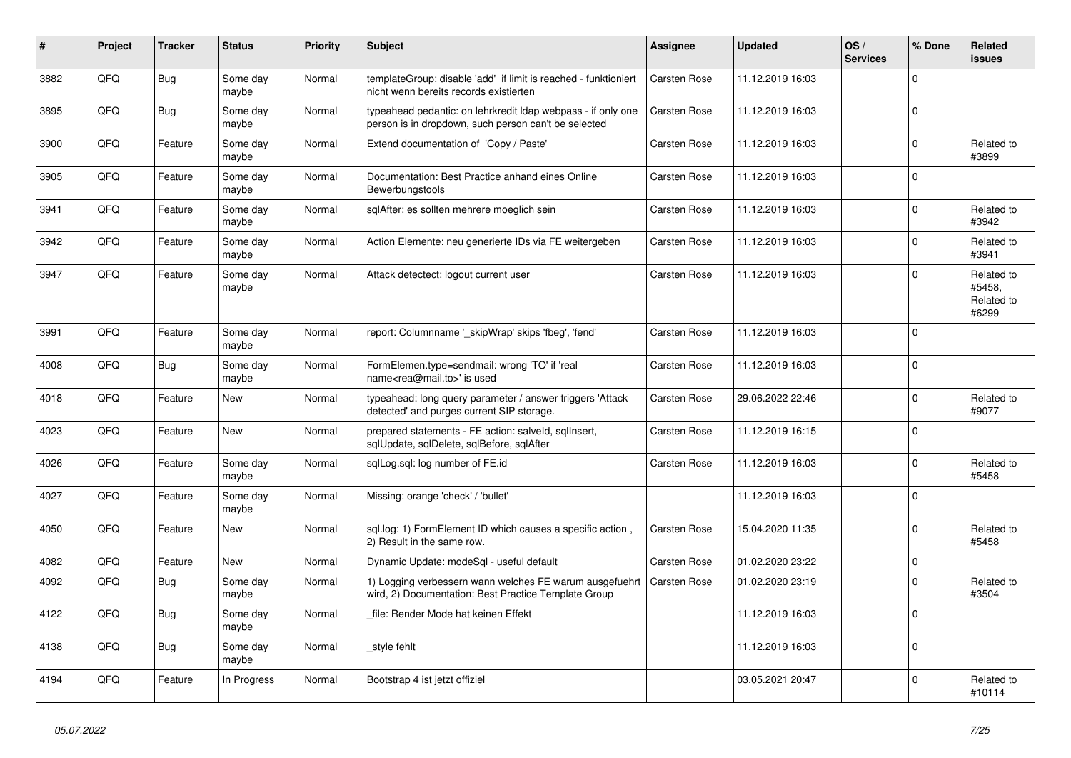| #    | Project    | <b>Tracker</b> | <b>Status</b>     | <b>Priority</b> | <b>Subject</b>                                                                                                       | Assignee            | <b>Updated</b>   | OS/<br><b>Services</b> | % Done   | Related<br><b>issues</b>                    |
|------|------------|----------------|-------------------|-----------------|----------------------------------------------------------------------------------------------------------------------|---------------------|------------------|------------------------|----------|---------------------------------------------|
| 3882 | QFQ        | <b>Bug</b>     | Some day<br>maybe | Normal          | templateGroup: disable 'add' if limit is reached - funktioniert<br>nicht wenn bereits records existierten            | Carsten Rose        | 11.12.2019 16:03 |                        | $\Omega$ |                                             |
| 3895 | QFQ        | Bug            | Some day<br>maybe | Normal          | typeahead pedantic: on lehrkredit Idap webpass - if only one<br>person is in dropdown, such person can't be selected | <b>Carsten Rose</b> | 11.12.2019 16:03 |                        | $\Omega$ |                                             |
| 3900 | QFQ        | Feature        | Some day<br>maybe | Normal          | Extend documentation of 'Copy / Paste'                                                                               | Carsten Rose        | 11.12.2019 16:03 |                        | $\Omega$ | Related to<br>#3899                         |
| 3905 | QFQ        | Feature        | Some day<br>maybe | Normal          | Documentation: Best Practice anhand eines Online<br>Bewerbungstools                                                  | <b>Carsten Rose</b> | 11.12.2019 16:03 |                        | $\Omega$ |                                             |
| 3941 | QFQ        | Feature        | Some day<br>maybe | Normal          | sqlAfter: es sollten mehrere moeglich sein                                                                           | Carsten Rose        | 11.12.2019 16:03 |                        | $\Omega$ | Related to<br>#3942                         |
| 3942 | QFQ        | Feature        | Some day<br>maybe | Normal          | Action Elemente: neu generierte IDs via FE weitergeben                                                               | <b>Carsten Rose</b> | 11.12.2019 16:03 |                        | $\Omega$ | Related to<br>#3941                         |
| 3947 | QFQ        | Feature        | Some day<br>maybe | Normal          | Attack detectect: logout current user                                                                                | <b>Carsten Rose</b> | 11.12.2019 16:03 |                        | $\Omega$ | Related to<br>#5458,<br>Related to<br>#6299 |
| 3991 | QFQ        | Feature        | Some day<br>maybe | Normal          | report: Columnname ' skipWrap' skips 'fbeg', 'fend'                                                                  | <b>Carsten Rose</b> | 11.12.2019 16:03 |                        | $\Omega$ |                                             |
| 4008 | QFQ        | Bug            | Some day<br>maybe | Normal          | FormElemen.type=sendmail: wrong 'TO' if 'real<br>name <rea@mail.to>' is used</rea@mail.to>                           | <b>Carsten Rose</b> | 11.12.2019 16:03 |                        | $\Omega$ |                                             |
| 4018 | QFQ        | Feature        | <b>New</b>        | Normal          | typeahead: long query parameter / answer triggers 'Attack<br>detected' and purges current SIP storage.               | <b>Carsten Rose</b> | 29.06.2022 22:46 |                        | $\Omega$ | Related to<br>#9077                         |
| 4023 | QFQ        | Feature        | <b>New</b>        | Normal          | prepared statements - FE action: salveld, sqllnsert,<br>sqlUpdate, sqlDelete, sqlBefore, sqlAfter                    | Carsten Rose        | 11.12.2019 16:15 |                        | $\Omega$ |                                             |
| 4026 | QFQ        | Feature        | Some day<br>maybe | Normal          | sqlLog.sql: log number of FE.id                                                                                      | <b>Carsten Rose</b> | 11.12.2019 16:03 |                        | $\Omega$ | Related to<br>#5458                         |
| 4027 | QFQ        | Feature        | Some day<br>maybe | Normal          | Missing: orange 'check' / 'bullet'                                                                                   |                     | 11.12.2019 16:03 |                        | $\Omega$ |                                             |
| 4050 | <b>OFO</b> | Feature        | <b>New</b>        | Normal          | sql.log: 1) FormElement ID which causes a specific action,<br>2) Result in the same row.                             | <b>Carsten Rose</b> | 15.04.2020 11:35 |                        | $\Omega$ | Related to<br>#5458                         |
| 4082 | QFQ        | Feature        | New               | Normal          | Dynamic Update: modeSql - useful default                                                                             | <b>Carsten Rose</b> | 01.02.2020 23:22 |                        | $\Omega$ |                                             |
| 4092 | QFQ        | Bug            | Some day<br>maybe | Normal          | 1) Logging verbessern wann welches FE warum ausgefuehrt<br>wird, 2) Documentation: Best Practice Template Group      | <b>Carsten Rose</b> | 01.02.2020 23:19 |                        | $\Omega$ | Related to<br>#3504                         |
| 4122 | QFQ        | <b>Bug</b>     | Some day<br>maybe | Normal          | file: Render Mode hat keinen Effekt                                                                                  |                     | 11.12.2019 16:03 |                        | $\Omega$ |                                             |
| 4138 | QFQ        | <b>Bug</b>     | Some day<br>maybe | Normal          | style fehlt                                                                                                          |                     | 11.12.2019 16:03 |                        | $\Omega$ |                                             |
| 4194 | QFQ        | Feature        | In Progress       | Normal          | Bootstrap 4 ist jetzt offiziel                                                                                       |                     | 03.05.2021 20:47 |                        | $\Omega$ | Related to<br>#10114                        |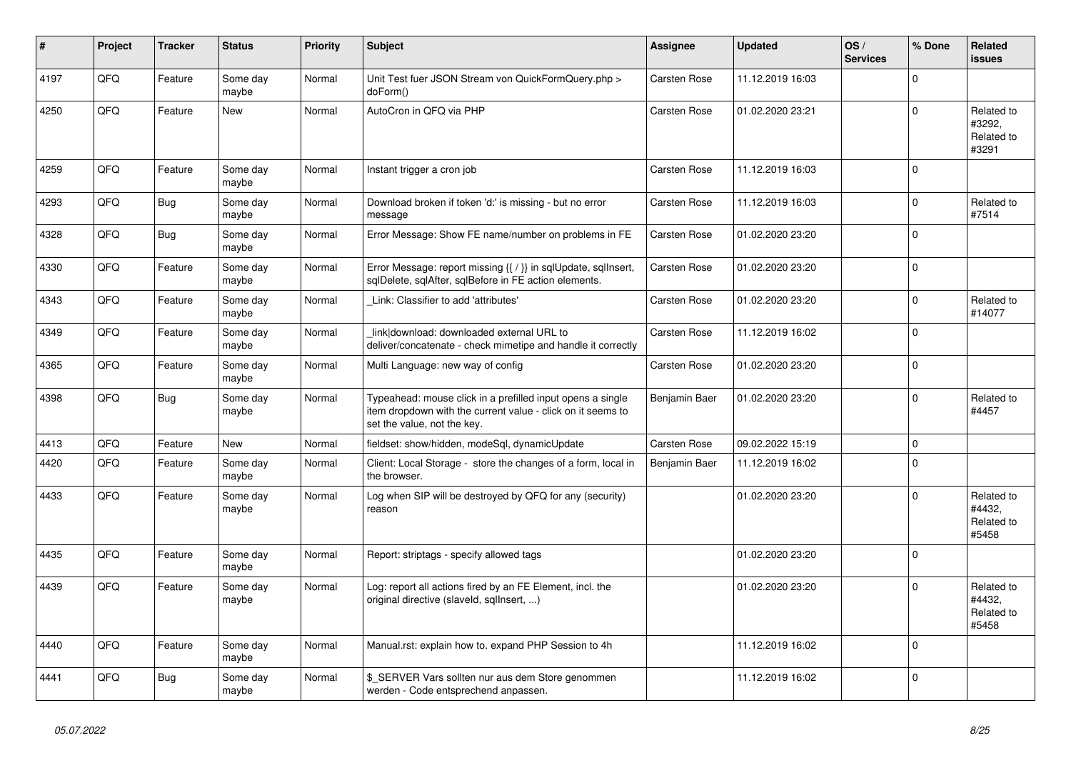| #    | Project | <b>Tracker</b> | <b>Status</b>     | <b>Priority</b> | <b>Subject</b>                                                                                                                                           | <b>Assignee</b>     | <b>Updated</b>   | OS/<br><b>Services</b> | % Done      | Related<br><b>issues</b>                    |
|------|---------|----------------|-------------------|-----------------|----------------------------------------------------------------------------------------------------------------------------------------------------------|---------------------|------------------|------------------------|-------------|---------------------------------------------|
| 4197 | QFQ     | Feature        | Some day<br>maybe | Normal          | Unit Test fuer JSON Stream von QuickFormQuery.php ><br>doForm()                                                                                          | <b>Carsten Rose</b> | 11.12.2019 16:03 |                        | $\Omega$    |                                             |
| 4250 | QFQ     | Feature        | New               | Normal          | AutoCron in QFQ via PHP                                                                                                                                  | <b>Carsten Rose</b> | 01.02.2020 23:21 |                        | $\Omega$    | Related to<br>#3292,<br>Related to<br>#3291 |
| 4259 | QFQ     | Feature        | Some day<br>maybe | Normal          | Instant trigger a cron job                                                                                                                               | <b>Carsten Rose</b> | 11.12.2019 16:03 |                        | $\Omega$    |                                             |
| 4293 | QFQ     | Bug            | Some day<br>maybe | Normal          | Download broken if token 'd:' is missing - but no error<br>message                                                                                       | <b>Carsten Rose</b> | 11.12.2019 16:03 |                        | $\Omega$    | Related to<br>#7514                         |
| 4328 | QFQ     | <b>Bug</b>     | Some day<br>maybe | Normal          | Error Message: Show FE name/number on problems in FE                                                                                                     | Carsten Rose        | 01.02.2020 23:20 |                        | $\Omega$    |                                             |
| 4330 | QFQ     | Feature        | Some day<br>maybe | Normal          | Error Message: report missing {{ / }} in sqlUpdate, sqlInsert,<br>sqlDelete, sqlAfter, sqlBefore in FE action elements.                                  | <b>Carsten Rose</b> | 01.02.2020 23:20 |                        | $\Omega$    |                                             |
| 4343 | QFQ     | Feature        | Some day<br>maybe | Normal          | Link: Classifier to add 'attributes'                                                                                                                     | <b>Carsten Rose</b> | 01.02.2020 23:20 |                        | $\mathbf 0$ | Related to<br>#14077                        |
| 4349 | QFQ     | Feature        | Some day<br>maybe | Normal          | link download: downloaded external URL to<br>deliver/concatenate - check mimetipe and handle it correctly                                                | Carsten Rose        | 11.12.2019 16:02 |                        | $\Omega$    |                                             |
| 4365 | QFQ     | Feature        | Some day<br>maybe | Normal          | Multi Language: new way of config                                                                                                                        | <b>Carsten Rose</b> | 01.02.2020 23:20 |                        | $\Omega$    |                                             |
| 4398 | QFQ     | <b>Bug</b>     | Some day<br>maybe | Normal          | Typeahead: mouse click in a prefilled input opens a single<br>item dropdown with the current value - click on it seems to<br>set the value, not the key. | Benjamin Baer       | 01.02.2020 23:20 |                        | $\Omega$    | Related to<br>#4457                         |
| 4413 | QFQ     | Feature        | <b>New</b>        | Normal          | fieldset: show/hidden, modeSql, dynamicUpdate                                                                                                            | <b>Carsten Rose</b> | 09.02.2022 15:19 |                        | $\mathbf 0$ |                                             |
| 4420 | QFQ     | Feature        | Some day<br>maybe | Normal          | Client: Local Storage - store the changes of a form, local in<br>the browser.                                                                            | Benjamin Baer       | 11.12.2019 16:02 |                        | $\Omega$    |                                             |
| 4433 | QFQ     | Feature        | Some day<br>maybe | Normal          | Log when SIP will be destroyed by QFQ for any (security)<br>reason                                                                                       |                     | 01.02.2020 23:20 |                        | $\Omega$    | Related to<br>#4432,<br>Related to<br>#5458 |
| 4435 | QFQ     | Feature        | Some day<br>maybe | Normal          | Report: striptags - specify allowed tags                                                                                                                 |                     | 01.02.2020 23:20 |                        | $\Omega$    |                                             |
| 4439 | QFQ     | Feature        | Some day<br>maybe | Normal          | Log: report all actions fired by an FE Element, incl. the<br>original directive (slaveld, sqllnsert, )                                                   |                     | 01.02.2020 23:20 |                        | $\Omega$    | Related to<br>#4432,<br>Related to<br>#5458 |
| 4440 | QFQ     | Feature        | Some day<br>maybe | Normal          | Manual.rst: explain how to. expand PHP Session to 4h                                                                                                     |                     | 11.12.2019 16:02 |                        | $\Omega$    |                                             |
| 4441 | QFQ     | Bug            | Some day<br>maybe | Normal          | \$_SERVER Vars sollten nur aus dem Store genommen<br>werden - Code entsprechend anpassen.                                                                |                     | 11.12.2019 16:02 |                        | $\Omega$    |                                             |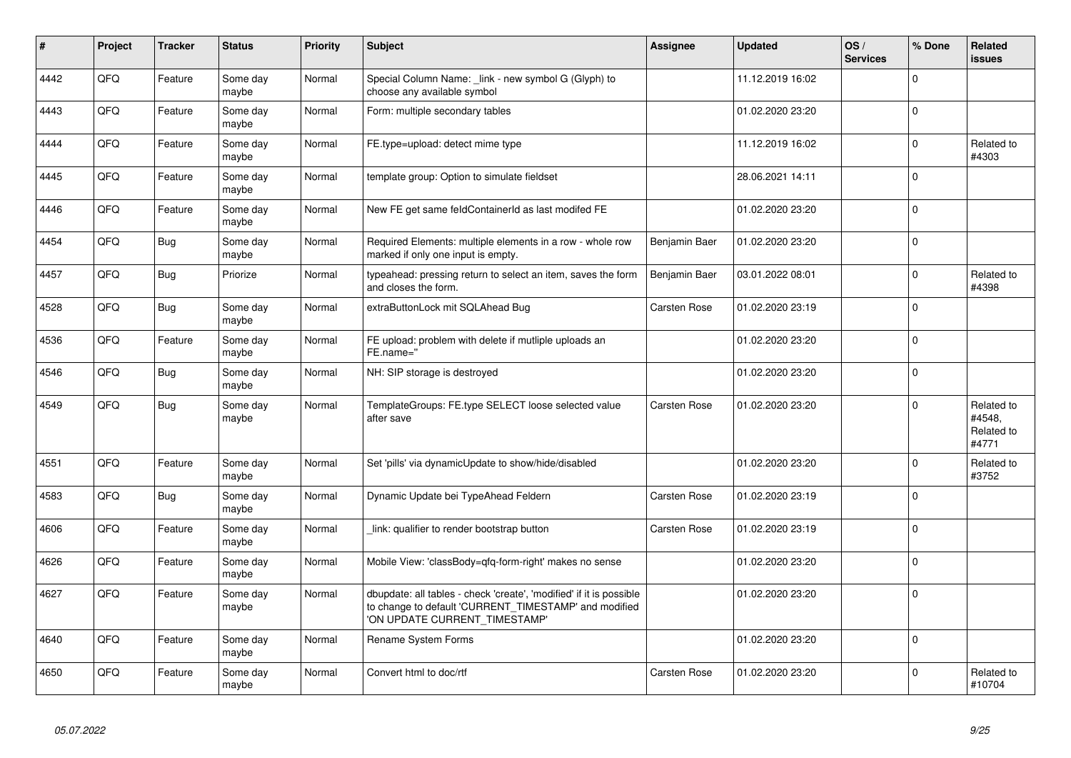| #    | Project | <b>Tracker</b> | <b>Status</b>     | <b>Priority</b> | <b>Subject</b>                                                                                                                                                | Assignee            | Updated          | OS/<br><b>Services</b> | % Done      | Related<br><b>issues</b>                    |
|------|---------|----------------|-------------------|-----------------|---------------------------------------------------------------------------------------------------------------------------------------------------------------|---------------------|------------------|------------------------|-------------|---------------------------------------------|
| 4442 | QFQ     | Feature        | Some day<br>maybe | Normal          | Special Column Name: _link - new symbol G (Glyph) to<br>choose any available symbol                                                                           |                     | 11.12.2019 16:02 |                        | $\Omega$    |                                             |
| 4443 | QFQ     | Feature        | Some day<br>maybe | Normal          | Form: multiple secondary tables                                                                                                                               |                     | 01.02.2020 23:20 |                        | $\Omega$    |                                             |
| 4444 | QFQ     | Feature        | Some day<br>maybe | Normal          | FE.type=upload: detect mime type                                                                                                                              |                     | 11.12.2019 16:02 |                        | $\Omega$    | Related to<br>#4303                         |
| 4445 | QFQ     | Feature        | Some day<br>maybe | Normal          | template group: Option to simulate fieldset                                                                                                                   |                     | 28.06.2021 14:11 |                        | $\Omega$    |                                             |
| 4446 | QFQ     | Feature        | Some day<br>maybe | Normal          | New FE get same feldContainerId as last modifed FE                                                                                                            |                     | 01.02.2020 23:20 |                        | $\Omega$    |                                             |
| 4454 | QFQ     | <b>Bug</b>     | Some day<br>maybe | Normal          | Required Elements: multiple elements in a row - whole row<br>marked if only one input is empty.                                                               | Benjamin Baer       | 01.02.2020 23:20 |                        | $\mathbf 0$ |                                             |
| 4457 | QFQ     | Bug            | Priorize          | Normal          | typeahead: pressing return to select an item, saves the form<br>and closes the form.                                                                          | Benjamin Baer       | 03.01.2022 08:01 |                        | $\Omega$    | Related to<br>#4398                         |
| 4528 | QFQ     | <b>Bug</b>     | Some day<br>maybe | Normal          | extraButtonLock mit SQLAhead Bug                                                                                                                              | Carsten Rose        | 01.02.2020 23:19 |                        | $\Omega$    |                                             |
| 4536 | QFQ     | Feature        | Some day<br>maybe | Normal          | FE upload: problem with delete if mutliple uploads an<br>FE.name="                                                                                            |                     | 01.02.2020 23:20 |                        | $\Omega$    |                                             |
| 4546 | QFQ     | <b>Bug</b>     | Some day<br>maybe | Normal          | NH: SIP storage is destroyed                                                                                                                                  |                     | 01.02.2020 23:20 |                        | $\Omega$    |                                             |
| 4549 | QFQ     | <b>Bug</b>     | Some day<br>maybe | Normal          | TemplateGroups: FE.type SELECT loose selected value<br>after save                                                                                             | <b>Carsten Rose</b> | 01.02.2020 23:20 |                        | $\Omega$    | Related to<br>#4548,<br>Related to<br>#4771 |
| 4551 | QFQ     | Feature        | Some day<br>maybe | Normal          | Set 'pills' via dynamicUpdate to show/hide/disabled                                                                                                           |                     | 01.02.2020 23:20 |                        | $\mathbf 0$ | Related to<br>#3752                         |
| 4583 | QFQ     | <b>Bug</b>     | Some day<br>maybe | Normal          | Dynamic Update bei TypeAhead Feldern                                                                                                                          | <b>Carsten Rose</b> | 01.02.2020 23:19 |                        | $\Omega$    |                                             |
| 4606 | QFQ     | Feature        | Some day<br>maybe | Normal          | link: qualifier to render bootstrap button                                                                                                                    | <b>Carsten Rose</b> | 01.02.2020 23:19 |                        | $\Omega$    |                                             |
| 4626 | QFQ     | Feature        | Some day<br>maybe | Normal          | Mobile View: 'classBody=qfq-form-right' makes no sense                                                                                                        |                     | 01.02.2020 23:20 |                        | $\Omega$    |                                             |
| 4627 | QFQ     | Feature        | Some day<br>maybe | Normal          | dbupdate: all tables - check 'create', 'modified' if it is possible<br>to change to default 'CURRENT_TIMESTAMP' and modified<br>'ON UPDATE CURRENT TIMESTAMP' |                     | 01.02.2020 23:20 |                        | $\Omega$    |                                             |
| 4640 | QFQ     | Feature        | Some day<br>maybe | Normal          | Rename System Forms                                                                                                                                           |                     | 01.02.2020 23:20 |                        | $\Omega$    |                                             |
| 4650 | QFQ     | Feature        | Some day<br>maybe | Normal          | Convert html to doc/rtf                                                                                                                                       | <b>Carsten Rose</b> | 01.02.2020 23:20 |                        | $\Omega$    | Related to<br>#10704                        |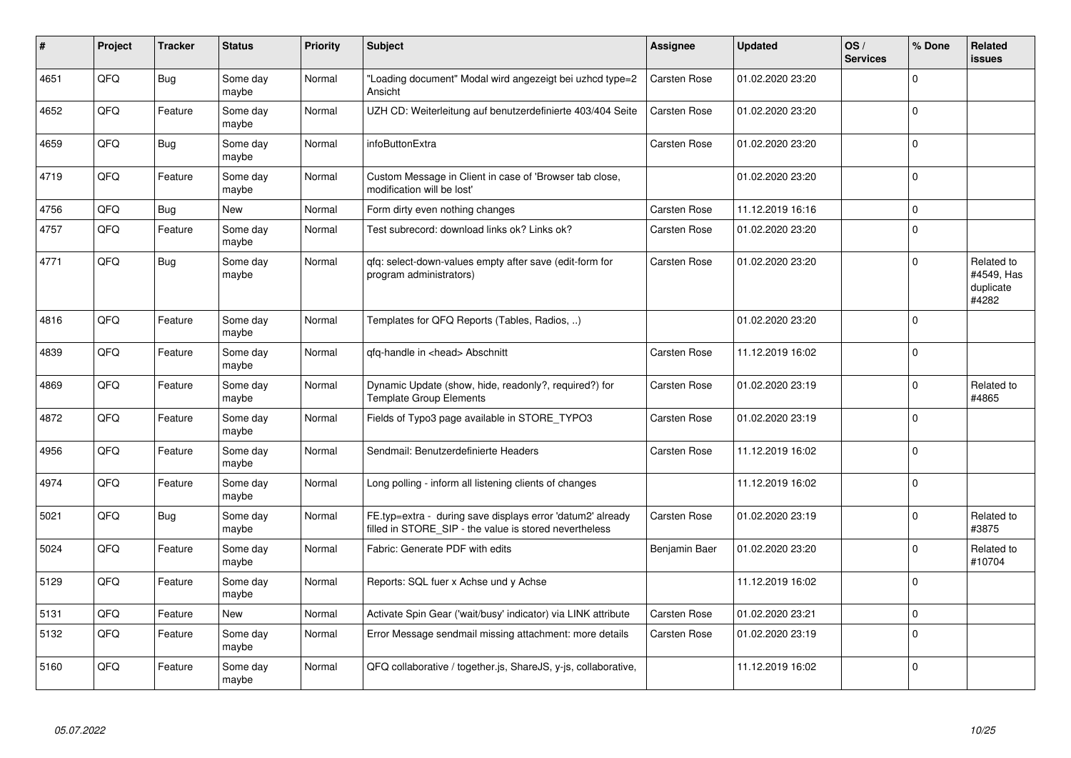| #    | Project | <b>Tracker</b> | <b>Status</b>     | <b>Priority</b> | <b>Subject</b>                                                                                                       | Assignee            | <b>Updated</b>   | OS/<br><b>Services</b> | % Done      | Related<br><b>issues</b>                       |
|------|---------|----------------|-------------------|-----------------|----------------------------------------------------------------------------------------------------------------------|---------------------|------------------|------------------------|-------------|------------------------------------------------|
| 4651 | QFQ     | <b>Bug</b>     | Some day<br>maybe | Normal          | "Loading document" Modal wird angezeigt bei uzhcd type=2<br>Ansicht                                                  | Carsten Rose        | 01.02.2020 23:20 |                        | $\Omega$    |                                                |
| 4652 | QFQ     | Feature        | Some day<br>maybe | Normal          | UZH CD: Weiterleitung auf benutzerdefinierte 403/404 Seite                                                           | <b>Carsten Rose</b> | 01.02.2020 23:20 |                        | $\Omega$    |                                                |
| 4659 | QFQ     | <b>Bug</b>     | Some day<br>maybe | Normal          | infoButtonExtra                                                                                                      | Carsten Rose        | 01.02.2020 23:20 |                        | $\Omega$    |                                                |
| 4719 | QFQ     | Feature        | Some day<br>maybe | Normal          | Custom Message in Client in case of 'Browser tab close,<br>modification will be lost'                                |                     | 01.02.2020 23:20 |                        | $\Omega$    |                                                |
| 4756 | QFQ     | <b>Bug</b>     | <b>New</b>        | Normal          | Form dirty even nothing changes                                                                                      | <b>Carsten Rose</b> | 11.12.2019 16:16 |                        | $\Omega$    |                                                |
| 4757 | QFQ     | Feature        | Some day<br>maybe | Normal          | Test subrecord: download links ok? Links ok?                                                                         | Carsten Rose        | 01.02.2020 23:20 |                        | $\Omega$    |                                                |
| 4771 | QFQ     | <b>Bug</b>     | Some day<br>maybe | Normal          | gfg: select-down-values empty after save (edit-form for<br>program administrators)                                   | <b>Carsten Rose</b> | 01.02.2020 23:20 |                        | $\Omega$    | Related to<br>#4549, Has<br>duplicate<br>#4282 |
| 4816 | QFQ     | Feature        | Some day<br>maybe | Normal          | Templates for QFQ Reports (Tables, Radios, )                                                                         |                     | 01.02.2020 23:20 |                        | $\Omega$    |                                                |
| 4839 | QFQ     | Feature        | Some day<br>maybe | Normal          | qfq-handle in <head> Abschnitt</head>                                                                                | <b>Carsten Rose</b> | 11.12.2019 16:02 |                        | $\Omega$    |                                                |
| 4869 | QFQ     | Feature        | Some day<br>maybe | Normal          | Dynamic Update (show, hide, readonly?, required?) for<br><b>Template Group Elements</b>                              | <b>Carsten Rose</b> | 01.02.2020 23:19 |                        | $\Omega$    | Related to<br>#4865                            |
| 4872 | QFQ     | Feature        | Some day<br>maybe | Normal          | Fields of Typo3 page available in STORE_TYPO3                                                                        | <b>Carsten Rose</b> | 01.02.2020 23:19 |                        | $\Omega$    |                                                |
| 4956 | QFQ     | Feature        | Some day<br>maybe | Normal          | Sendmail: Benutzerdefinierte Headers                                                                                 | <b>Carsten Rose</b> | 11.12.2019 16:02 |                        | $\mathbf 0$ |                                                |
| 4974 | QFQ     | Feature        | Some day<br>maybe | Normal          | Long polling - inform all listening clients of changes                                                               |                     | 11.12.2019 16:02 |                        | $\Omega$    |                                                |
| 5021 | QFQ     | <b>Bug</b>     | Some day<br>maybe | Normal          | FE.typ=extra - during save displays error 'datum2' already<br>filled in STORE_SIP - the value is stored nevertheless | Carsten Rose        | 01.02.2020 23:19 |                        | $\Omega$    | Related to<br>#3875                            |
| 5024 | QFQ     | Feature        | Some day<br>maybe | Normal          | Fabric: Generate PDF with edits                                                                                      | Benjamin Baer       | 01.02.2020 23:20 |                        | $\Omega$    | Related to<br>#10704                           |
| 5129 | QFQ     | Feature        | Some day<br>maybe | Normal          | Reports: SQL fuer x Achse und y Achse                                                                                |                     | 11.12.2019 16:02 |                        | $\mathbf 0$ |                                                |
| 5131 | QFQ     | Feature        | New               | Normal          | Activate Spin Gear ('wait/busy' indicator) via LINK attribute                                                        | Carsten Rose        | 01.02.2020 23:21 |                        | $\Omega$    |                                                |
| 5132 | QFQ     | Feature        | Some day<br>maybe | Normal          | Error Message sendmail missing attachment: more details                                                              | <b>Carsten Rose</b> | 01.02.2020 23:19 |                        | $\Omega$    |                                                |
| 5160 | QFQ     | Feature        | Some day<br>maybe | Normal          | QFQ collaborative / together.js, ShareJS, y-js, collaborative,                                                       |                     | 11.12.2019 16:02 |                        | $\Omega$    |                                                |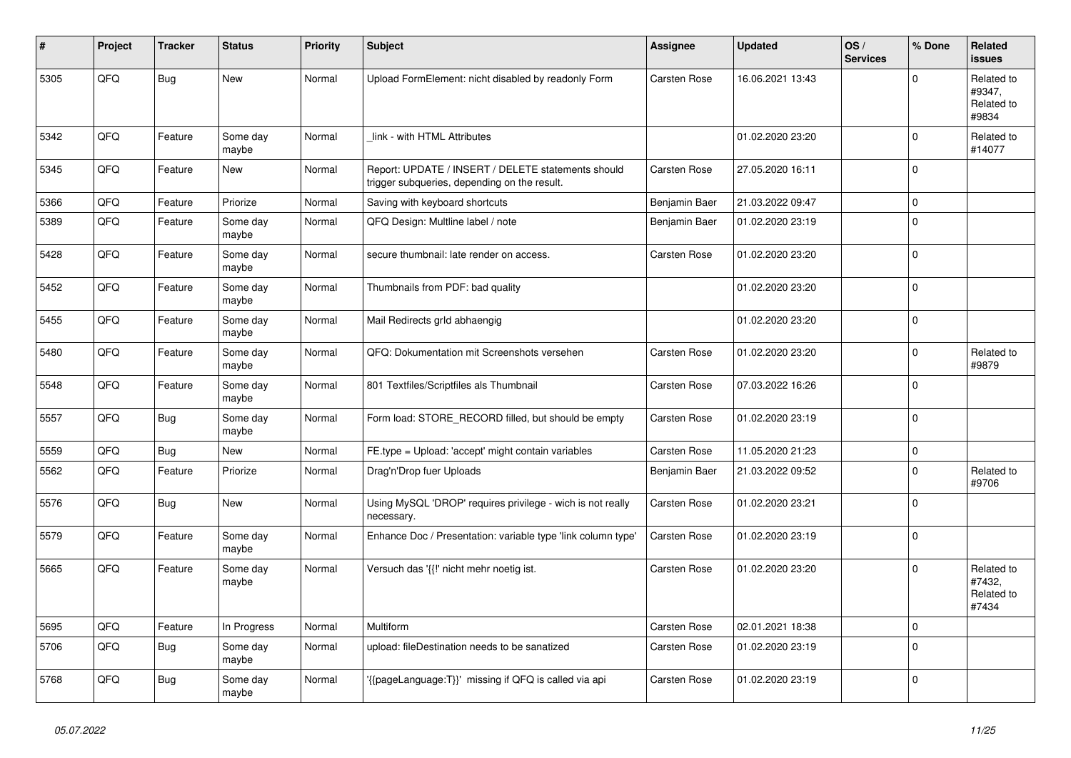| #    | Project | <b>Tracker</b> | <b>Status</b>     | <b>Priority</b> | <b>Subject</b>                                                                                     | <b>Assignee</b>     | <b>Updated</b>   | OS/<br><b>Services</b> | % Done       | Related<br><b>issues</b>                    |
|------|---------|----------------|-------------------|-----------------|----------------------------------------------------------------------------------------------------|---------------------|------------------|------------------------|--------------|---------------------------------------------|
| 5305 | QFQ     | <b>Bug</b>     | New               | Normal          | Upload FormElement: nicht disabled by readonly Form                                                | <b>Carsten Rose</b> | 16.06.2021 13:43 |                        | $\Omega$     | Related to<br>#9347,<br>Related to<br>#9834 |
| 5342 | QFQ     | Feature        | Some day<br>maybe | Normal          | link - with HTML Attributes                                                                        |                     | 01.02.2020 23:20 |                        | $\Omega$     | Related to<br>#14077                        |
| 5345 | QFQ     | Feature        | New               | Normal          | Report: UPDATE / INSERT / DELETE statements should<br>trigger subqueries, depending on the result. | Carsten Rose        | 27.05.2020 16:11 |                        | $\Omega$     |                                             |
| 5366 | QFQ     | Feature        | Priorize          | Normal          | Saving with keyboard shortcuts                                                                     | Benjamin Baer       | 21.03.2022 09:47 |                        | $\pmb{0}$    |                                             |
| 5389 | QFQ     | Feature        | Some day<br>maybe | Normal          | QFQ Design: Multline label / note                                                                  | Benjamin Baer       | 01.02.2020 23:19 |                        | $\Omega$     |                                             |
| 5428 | QFQ     | Feature        | Some day<br>maybe | Normal          | secure thumbnail: late render on access.                                                           | <b>Carsten Rose</b> | 01.02.2020 23:20 |                        | $\mathbf 0$  |                                             |
| 5452 | QFQ     | Feature        | Some day<br>maybe | Normal          | Thumbnails from PDF: bad quality                                                                   |                     | 01.02.2020 23:20 |                        | $\Omega$     |                                             |
| 5455 | QFQ     | Feature        | Some day<br>maybe | Normal          | Mail Redirects grld abhaengig                                                                      |                     | 01.02.2020 23:20 |                        | $\mathbf 0$  |                                             |
| 5480 | QFQ     | Feature        | Some day<br>maybe | Normal          | QFQ: Dokumentation mit Screenshots versehen                                                        | <b>Carsten Rose</b> | 01.02.2020 23:20 |                        | $\mathbf 0$  | Related to<br>#9879                         |
| 5548 | QFQ     | Feature        | Some day<br>maybe | Normal          | 801 Textfiles/Scriptfiles als Thumbnail                                                            | Carsten Rose        | 07.03.2022 16:26 |                        | $\Omega$     |                                             |
| 5557 | QFQ     | Bug            | Some day<br>maybe | Normal          | Form load: STORE_RECORD filled, but should be empty                                                | <b>Carsten Rose</b> | 01.02.2020 23:19 |                        | $\Omega$     |                                             |
| 5559 | QFQ     | <b>Bug</b>     | New               | Normal          | FE.type = Upload: 'accept' might contain variables                                                 | Carsten Rose        | 11.05.2020 21:23 |                        | $\pmb{0}$    |                                             |
| 5562 | QFQ     | Feature        | Priorize          | Normal          | Drag'n'Drop fuer Uploads                                                                           | Benjamin Baer       | 21.03.2022 09:52 |                        | $\Omega$     | Related to<br>#9706                         |
| 5576 | QFQ     | <b>Bug</b>     | <b>New</b>        | Normal          | Using MySQL 'DROP' requires privilege - wich is not really<br>necessary.                           | <b>Carsten Rose</b> | 01.02.2020 23:21 |                        | $\Omega$     |                                             |
| 5579 | QFQ     | Feature        | Some day<br>maybe | Normal          | Enhance Doc / Presentation: variable type 'link column type'                                       | <b>Carsten Rose</b> | 01.02.2020 23:19 |                        | $\Omega$     |                                             |
| 5665 | QFQ     | Feature        | Some day<br>maybe | Normal          | Versuch das '{{!' nicht mehr noetig ist.                                                           | Carsten Rose        | 01.02.2020 23:20 |                        | $\Omega$     | Related to<br>#7432.<br>Related to<br>#7434 |
| 5695 | QFQ     | Feature        | In Progress       | Normal          | Multiform                                                                                          | <b>Carsten Rose</b> | 02.01.2021 18:38 |                        | $\mathbf{0}$ |                                             |
| 5706 | QFQ     | <b>Bug</b>     | Some day<br>maybe | Normal          | upload: fileDestination needs to be sanatized                                                      | Carsten Rose        | 01.02.2020 23:19 |                        | $\Omega$     |                                             |
| 5768 | QFQ     | Bug            | Some day<br>maybe | Normal          | {{pageLanguage:T}}' missing if QFQ is called via api                                               | <b>Carsten Rose</b> | 01.02.2020 23:19 |                        | $\Omega$     |                                             |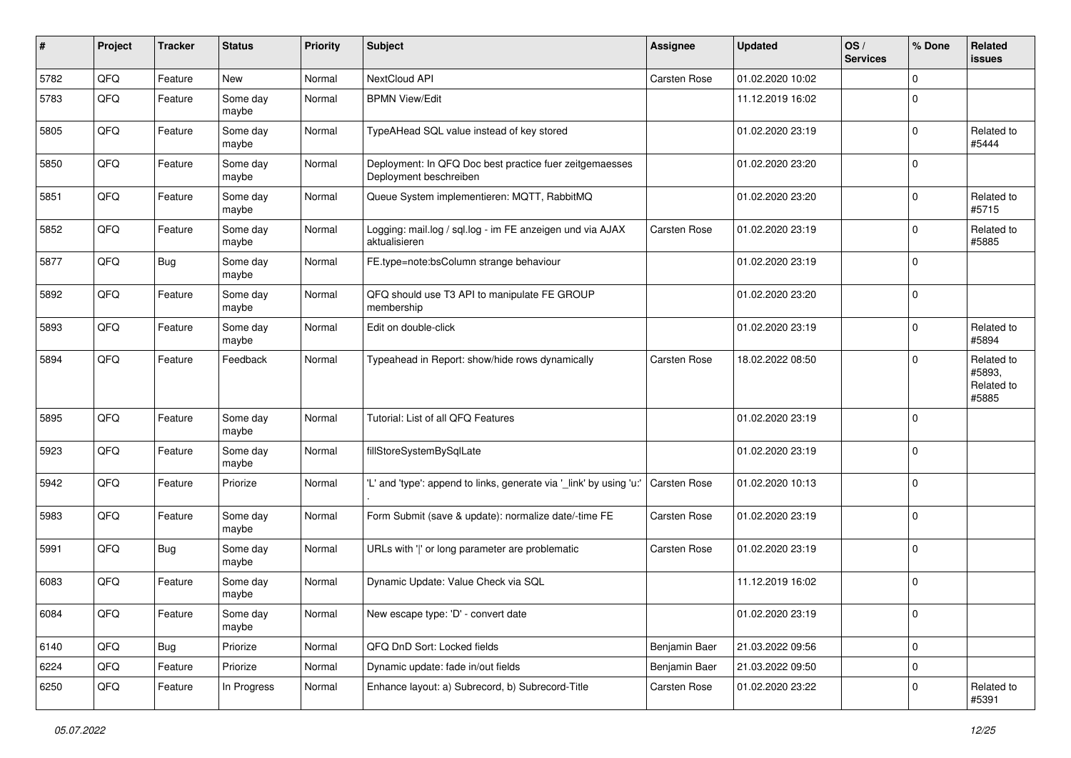| #    | Project | <b>Tracker</b> | <b>Status</b>     | <b>Priority</b> | <b>Subject</b>                                                                    | <b>Assignee</b>     | <b>Updated</b>   | OS/<br><b>Services</b> | % Done      | <b>Related</b><br>issues                    |
|------|---------|----------------|-------------------|-----------------|-----------------------------------------------------------------------------------|---------------------|------------------|------------------------|-------------|---------------------------------------------|
| 5782 | QFQ     | Feature        | <b>New</b>        | Normal          | NextCloud API                                                                     | Carsten Rose        | 01.02.2020 10:02 |                        | $\Omega$    |                                             |
| 5783 | QFQ     | Feature        | Some day<br>maybe | Normal          | <b>BPMN View/Edit</b>                                                             |                     | 11.12.2019 16:02 |                        | 0           |                                             |
| 5805 | QFQ     | Feature        | Some day<br>maybe | Normal          | TypeAHead SQL value instead of key stored                                         |                     | 01.02.2020 23:19 |                        | $\mathbf 0$ | Related to<br>#5444                         |
| 5850 | QFQ     | Feature        | Some day<br>maybe | Normal          | Deployment: In QFQ Doc best practice fuer zeitgemaesses<br>Deployment beschreiben |                     | 01.02.2020 23:20 |                        | $\mathbf 0$ |                                             |
| 5851 | QFQ     | Feature        | Some day<br>maybe | Normal          | Queue System implementieren: MQTT, RabbitMQ                                       |                     | 01.02.2020 23:20 |                        | $\Omega$    | Related to<br>#5715                         |
| 5852 | QFQ     | Feature        | Some day<br>maybe | Normal          | Logging: mail.log / sql.log - im FE anzeigen und via AJAX<br>aktualisieren        | Carsten Rose        | 01.02.2020 23:19 |                        | $\mathbf 0$ | Related to<br>#5885                         |
| 5877 | QFQ     | <b>Bug</b>     | Some day<br>maybe | Normal          | FE.type=note:bsColumn strange behaviour                                           |                     | 01.02.2020 23:19 |                        | $\mathbf 0$ |                                             |
| 5892 | QFQ     | Feature        | Some day<br>maybe | Normal          | QFQ should use T3 API to manipulate FE GROUP<br>membership                        |                     | 01.02.2020 23:20 |                        | $\mathbf 0$ |                                             |
| 5893 | QFQ     | Feature        | Some day<br>maybe | Normal          | Edit on double-click                                                              |                     | 01.02.2020 23:19 |                        | $\Omega$    | Related to<br>#5894                         |
| 5894 | QFQ     | Feature        | Feedback          | Normal          | Typeahead in Report: show/hide rows dynamically                                   | Carsten Rose        | 18.02.2022 08:50 |                        | $\Omega$    | Related to<br>#5893,<br>Related to<br>#5885 |
| 5895 | QFQ     | Feature        | Some day<br>maybe | Normal          | Tutorial: List of all QFQ Features                                                |                     | 01.02.2020 23:19 |                        | $\mathbf 0$ |                                             |
| 5923 | QFQ     | Feature        | Some day<br>maybe | Normal          | fillStoreSystemBySqlLate                                                          |                     | 01.02.2020 23:19 |                        | $\mathbf 0$ |                                             |
| 5942 | QFQ     | Feature        | Priorize          | Normal          | 'L' and 'type': append to links, generate via '_link' by using 'u:'               | <b>Carsten Rose</b> | 01.02.2020 10:13 |                        | $\mathbf 0$ |                                             |
| 5983 | QFQ     | Feature        | Some day<br>maybe | Normal          | Form Submit (save & update): normalize date/-time FE                              | Carsten Rose        | 01.02.2020 23:19 |                        | $\mathbf 0$ |                                             |
| 5991 | QFQ     | Bug            | Some day<br>maybe | Normal          | URLs with ' ' or long parameter are problematic                                   | Carsten Rose        | 01.02.2020 23:19 |                        | $\mathbf 0$ |                                             |
| 6083 | QFQ     | Feature        | Some day<br>maybe | Normal          | Dynamic Update: Value Check via SQL                                               |                     | 11.12.2019 16:02 |                        | $\mathbf 0$ |                                             |
| 6084 | QFQ     | Feature        | Some day<br>maybe | Normal          | New escape type: 'D' - convert date                                               |                     | 01.02.2020 23:19 |                        | 0           |                                             |
| 6140 | QFQ     | <b>Bug</b>     | Priorize          | Normal          | QFQ DnD Sort: Locked fields                                                       | Benjamin Baer       | 21.03.2022 09:56 |                        | $\mathbf 0$ |                                             |
| 6224 | QFQ     | Feature        | Priorize          | Normal          | Dynamic update: fade in/out fields                                                | Benjamin Baer       | 21.03.2022 09:50 |                        | $\mathbf 0$ |                                             |
| 6250 | QFQ     | Feature        | In Progress       | Normal          | Enhance layout: a) Subrecord, b) Subrecord-Title                                  | Carsten Rose        | 01.02.2020 23:22 |                        | 0           | Related to<br>#5391                         |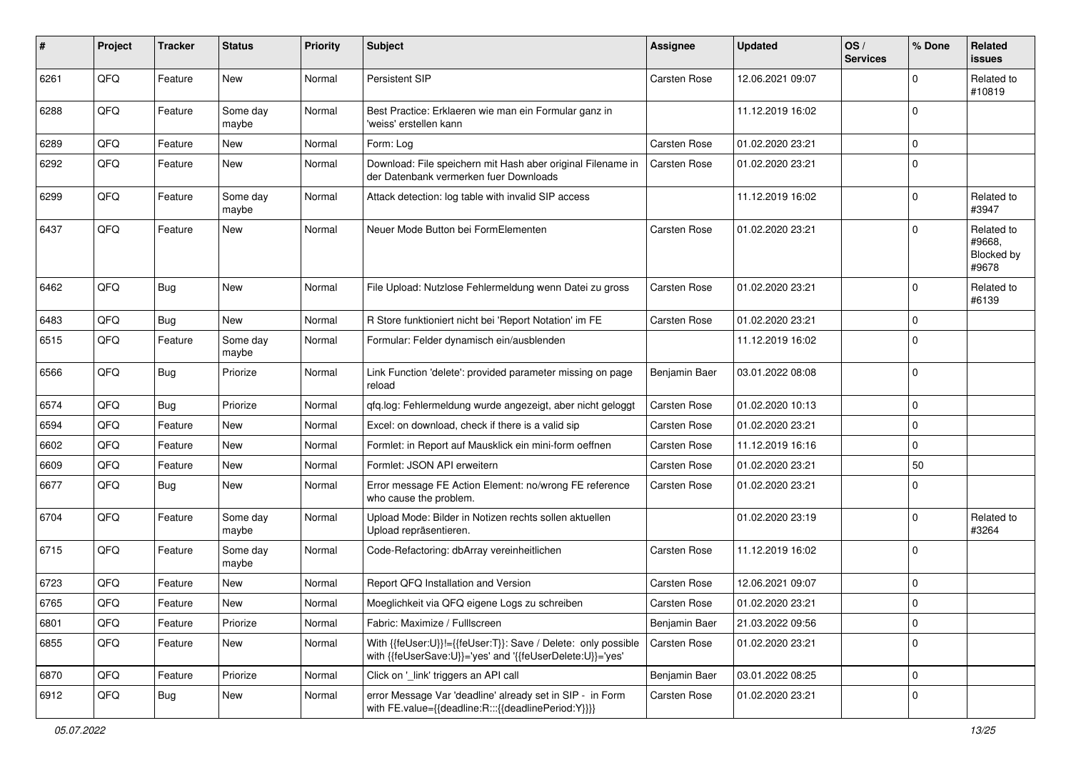| #    | Project | <b>Tracker</b> | <b>Status</b>     | <b>Priority</b> | <b>Subject</b>                                                                                                             | <b>Assignee</b>     | <b>Updated</b>   | OS/<br><b>Services</b> | % Done      | Related<br><b>issues</b>                    |
|------|---------|----------------|-------------------|-----------------|----------------------------------------------------------------------------------------------------------------------------|---------------------|------------------|------------------------|-------------|---------------------------------------------|
| 6261 | QFQ     | Feature        | New               | Normal          | Persistent SIP                                                                                                             | <b>Carsten Rose</b> | 12.06.2021 09:07 |                        | $\mathbf 0$ | Related to<br>#10819                        |
| 6288 | QFQ     | Feature        | Some day<br>maybe | Normal          | Best Practice: Erklaeren wie man ein Formular ganz in<br>'weiss' erstellen kann                                            |                     | 11.12.2019 16:02 |                        | $\mathbf 0$ |                                             |
| 6289 | QFQ     | Feature        | New               | Normal          | Form: Log                                                                                                                  | <b>Carsten Rose</b> | 01.02.2020 23:21 |                        | $\mathbf 0$ |                                             |
| 6292 | QFQ     | Feature        | New               | Normal          | Download: File speichern mit Hash aber original Filename in<br>der Datenbank vermerken fuer Downloads                      | <b>Carsten Rose</b> | 01.02.2020 23:21 |                        | $\mathbf 0$ |                                             |
| 6299 | QFQ     | Feature        | Some day<br>maybe | Normal          | Attack detection: log table with invalid SIP access                                                                        |                     | 11.12.2019 16:02 |                        | $\mathbf 0$ | Related to<br>#3947                         |
| 6437 | QFQ     | Feature        | New               | Normal          | Neuer Mode Button bei FormElementen                                                                                        | <b>Carsten Rose</b> | 01.02.2020 23:21 |                        | $\mathbf 0$ | Related to<br>#9668,<br>Blocked by<br>#9678 |
| 6462 | QFQ     | <b>Bug</b>     | New               | Normal          | File Upload: Nutzlose Fehlermeldung wenn Datei zu gross                                                                    | <b>Carsten Rose</b> | 01.02.2020 23:21 |                        | $\mathbf 0$ | Related to<br>#6139                         |
| 6483 | QFQ     | Bug            | New               | Normal          | R Store funktioniert nicht bei 'Report Notation' im FE                                                                     | <b>Carsten Rose</b> | 01.02.2020 23:21 |                        | $\mathbf 0$ |                                             |
| 6515 | QFQ     | Feature        | Some day<br>maybe | Normal          | Formular: Felder dynamisch ein/ausblenden                                                                                  |                     | 11.12.2019 16:02 |                        | $\mathbf 0$ |                                             |
| 6566 | QFQ     | <b>Bug</b>     | Priorize          | Normal          | Link Function 'delete': provided parameter missing on page<br>reload                                                       | Benjamin Baer       | 03.01.2022 08:08 |                        | $\mathbf 0$ |                                             |
| 6574 | QFQ     | <b>Bug</b>     | Priorize          | Normal          | qfq.log: Fehlermeldung wurde angezeigt, aber nicht geloggt                                                                 | <b>Carsten Rose</b> | 01.02.2020 10:13 |                        | $\mathbf 0$ |                                             |
| 6594 | QFQ     | Feature        | New               | Normal          | Excel: on download, check if there is a valid sip                                                                          | <b>Carsten Rose</b> | 01.02.2020 23:21 |                        | $\mathbf 0$ |                                             |
| 6602 | QFQ     | Feature        | <b>New</b>        | Normal          | Formlet: in Report auf Mausklick ein mini-form oeffnen                                                                     | <b>Carsten Rose</b> | 11.12.2019 16:16 |                        | $\mathbf 0$ |                                             |
| 6609 | QFQ     | Feature        | New               | Normal          | Formlet: JSON API erweitern                                                                                                | <b>Carsten Rose</b> | 01.02.2020 23:21 |                        | 50          |                                             |
| 6677 | QFQ     | Bug            | New               | Normal          | Error message FE Action Element: no/wrong FE reference<br>who cause the problem.                                           | <b>Carsten Rose</b> | 01.02.2020 23:21 |                        | $\mathbf 0$ |                                             |
| 6704 | QFQ     | Feature        | Some day<br>maybe | Normal          | Upload Mode: Bilder in Notizen rechts sollen aktuellen<br>Upload repräsentieren.                                           |                     | 01.02.2020 23:19 |                        | $\mathbf 0$ | Related to<br>#3264                         |
| 6715 | QFQ     | Feature        | Some day<br>maybe | Normal          | Code-Refactoring: dbArray vereinheitlichen                                                                                 | <b>Carsten Rose</b> | 11.12.2019 16:02 |                        | $\mathbf 0$ |                                             |
| 6723 | QFQ     | Feature        | New               | Normal          | Report QFQ Installation and Version                                                                                        | <b>Carsten Rose</b> | 12.06.2021 09:07 |                        | $\mathbf 0$ |                                             |
| 6765 | QFQ     | Feature        | New               | Normal          | Moeglichkeit via QFQ eigene Logs zu schreiben                                                                              | <b>Carsten Rose</b> | 01.02.2020 23:21 |                        | $\Omega$    |                                             |
| 6801 | QFQ     | Feature        | Priorize          | Normal          | Fabric: Maximize / Fulllscreen                                                                                             | Benjamin Baer       | 21.03.2022 09:56 |                        | $\mathbf 0$ |                                             |
| 6855 | QFQ     | Feature        | New               | Normal          | With {{feUser:U}}!={{feUser:T}}: Save / Delete: only possible<br>with {{feUserSave:U}}='yes' and '{{feUserDelete:U}}='yes' | <b>Carsten Rose</b> | 01.02.2020 23:21 |                        | $\mathbf 0$ |                                             |
| 6870 | QFQ     | Feature        | Priorize          | Normal          | Click on '_link' triggers an API call                                                                                      | Benjamin Baer       | 03.01.2022 08:25 |                        | $\mathsf 0$ |                                             |
| 6912 | QFQ     | <b>Bug</b>     | New               | Normal          | error Message Var 'deadline' already set in SIP - in Form<br>with FE.value={{deadline:R:::{{deadlinePeriod:Y}}}}           | Carsten Rose        | 01.02.2020 23:21 |                        | $\mathbf 0$ |                                             |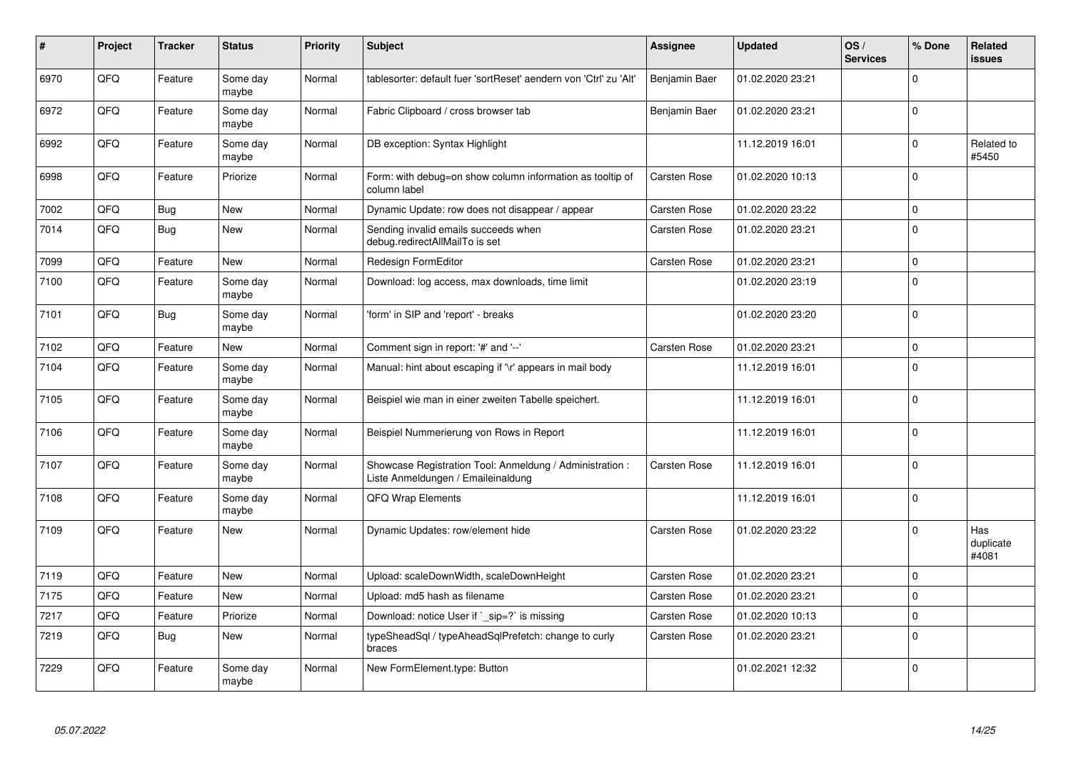| #    | Project | <b>Tracker</b> | <b>Status</b>     | <b>Priority</b> | <b>Subject</b>                                                                                 | Assignee            | <b>Updated</b>   | OS/<br><b>Services</b> | % Done      | Related<br><b>issues</b>  |
|------|---------|----------------|-------------------|-----------------|------------------------------------------------------------------------------------------------|---------------------|------------------|------------------------|-------------|---------------------------|
| 6970 | QFQ     | Feature        | Some day<br>maybe | Normal          | tablesorter: default fuer 'sortReset' aendern von 'Ctrl' zu 'Alt'                              | Benjamin Baer       | 01.02.2020 23:21 |                        | $\Omega$    |                           |
| 6972 | QFQ     | Feature        | Some day<br>maybe | Normal          | Fabric Clipboard / cross browser tab                                                           | Benjamin Baer       | 01.02.2020 23:21 |                        | $\Omega$    |                           |
| 6992 | QFQ     | Feature        | Some day<br>maybe | Normal          | DB exception: Syntax Highlight                                                                 |                     | 11.12.2019 16:01 |                        | $\Omega$    | Related to<br>#5450       |
| 6998 | QFQ     | Feature        | Priorize          | Normal          | Form: with debug=on show column information as tooltip of<br>column label                      | Carsten Rose        | 01.02.2020 10:13 |                        | $\Omega$    |                           |
| 7002 | QFQ     | Bug            | <b>New</b>        | Normal          | Dynamic Update: row does not disappear / appear                                                | <b>Carsten Rose</b> | 01.02.2020 23:22 |                        | $\Omega$    |                           |
| 7014 | QFQ     | <b>Bug</b>     | <b>New</b>        | Normal          | Sending invalid emails succeeds when<br>debug.redirectAllMailTo is set                         | Carsten Rose        | 01.02.2020 23:21 |                        | $\Omega$    |                           |
| 7099 | QFQ     | Feature        | <b>New</b>        | Normal          | Redesign FormEditor                                                                            | <b>Carsten Rose</b> | 01.02.2020 23:21 |                        | $\Omega$    |                           |
| 7100 | QFQ     | Feature        | Some day<br>maybe | Normal          | Download: log access, max downloads, time limit                                                |                     | 01.02.2020 23:19 |                        | $\Omega$    |                           |
| 7101 | QFQ     | <b>Bug</b>     | Some day<br>maybe | Normal          | 'form' in SIP and 'report' - breaks                                                            |                     | 01.02.2020 23:20 |                        | $\Omega$    |                           |
| 7102 | QFQ     | Feature        | <b>New</b>        | Normal          | Comment sign in report: '#' and '--'                                                           | <b>Carsten Rose</b> | 01.02.2020 23:21 |                        | $\Omega$    |                           |
| 7104 | QFQ     | Feature        | Some day<br>maybe | Normal          | Manual: hint about escaping if '\r' appears in mail body                                       |                     | 11.12.2019 16:01 |                        | $\Omega$    |                           |
| 7105 | QFQ     | Feature        | Some day<br>maybe | Normal          | Beispiel wie man in einer zweiten Tabelle speichert.                                           |                     | 11.12.2019 16:01 |                        | $\Omega$    |                           |
| 7106 | QFQ     | Feature        | Some day<br>maybe | Normal          | Beispiel Nummerierung von Rows in Report                                                       |                     | 11.12.2019 16:01 |                        | $\Omega$    |                           |
| 7107 | QFQ     | Feature        | Some day<br>maybe | Normal          | Showcase Registration Tool: Anmeldung / Administration :<br>Liste Anmeldungen / Emaileinaldung | Carsten Rose        | 11.12.2019 16:01 |                        | $\Omega$    |                           |
| 7108 | QFQ     | Feature        | Some day<br>maybe | Normal          | <b>QFQ Wrap Elements</b>                                                                       |                     | 11.12.2019 16:01 |                        | $\Omega$    |                           |
| 7109 | QFQ     | Feature        | New               | Normal          | Dynamic Updates: row/element hide                                                              | <b>Carsten Rose</b> | 01.02.2020 23:22 |                        | $\Omega$    | Has<br>duplicate<br>#4081 |
| 7119 | QFQ     | Feature        | <b>New</b>        | Normal          | Upload: scaleDownWidth, scaleDownHeight                                                        | Carsten Rose        | 01.02.2020 23:21 |                        | $\Omega$    |                           |
| 7175 | QFQ     | Feature        | New               | Normal          | Upload: md5 hash as filename                                                                   | <b>Carsten Rose</b> | 01.02.2020 23:21 |                        | $\mathbf 0$ |                           |
| 7217 | QFQ     | Feature        | Priorize          | Normal          | Download: notice User if ` sip=?` is missing                                                   | Carsten Rose        | 01.02.2020 10:13 |                        | $\Omega$    |                           |
| 7219 | QFQ     | <b>Bug</b>     | New               | Normal          | typeSheadSql / typeAheadSqlPrefetch: change to curly<br>braces                                 | Carsten Rose        | 01.02.2020 23:21 |                        | $\Omega$    |                           |
| 7229 | QFQ     | Feature        | Some day<br>maybe | Normal          | New FormElement.type: Button                                                                   |                     | 01.02.2021 12:32 |                        | $\Omega$    |                           |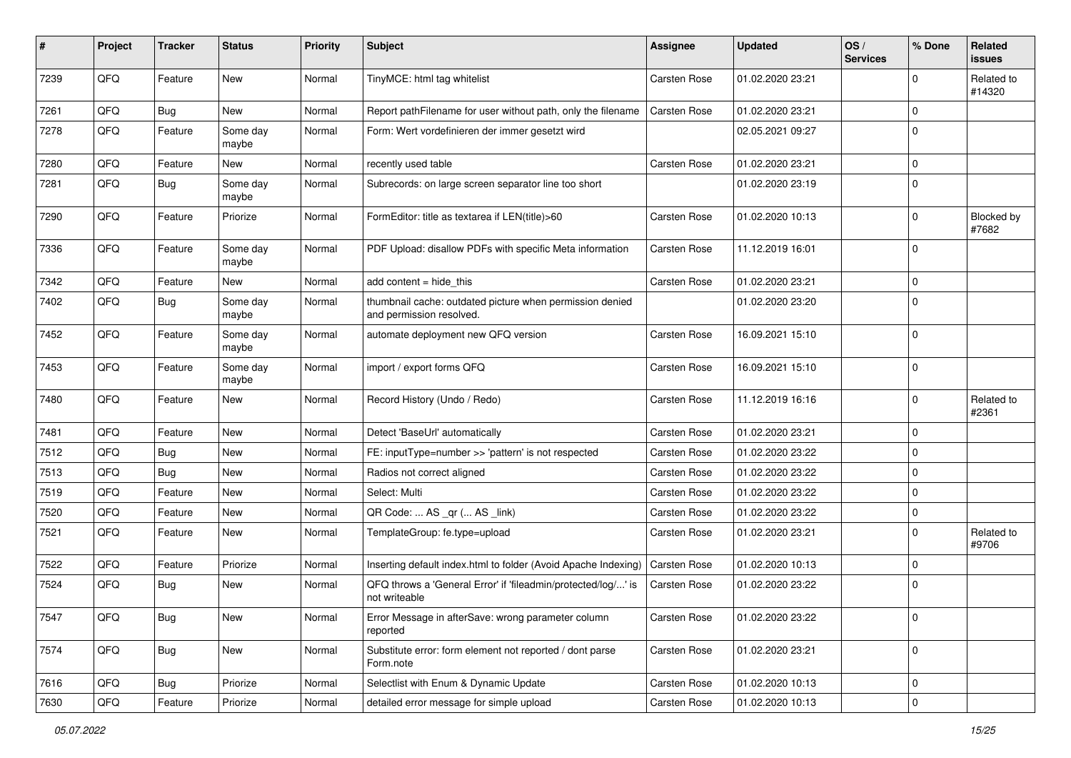| #    | Project | <b>Tracker</b> | <b>Status</b>     | <b>Priority</b> | <b>Subject</b>                                                                       | <b>Assignee</b>     | <b>Updated</b>   | OS/<br><b>Services</b> | % Done      | Related<br>issues    |
|------|---------|----------------|-------------------|-----------------|--------------------------------------------------------------------------------------|---------------------|------------------|------------------------|-------------|----------------------|
| 7239 | QFQ     | Feature        | <b>New</b>        | Normal          | TinyMCE: html tag whitelist                                                          | Carsten Rose        | 01.02.2020 23:21 |                        | 0           | Related to<br>#14320 |
| 7261 | QFQ     | <b>Bug</b>     | New               | Normal          | Report pathFilename for user without path, only the filename                         | <b>Carsten Rose</b> | 01.02.2020 23:21 |                        | $\mathbf 0$ |                      |
| 7278 | QFQ     | Feature        | Some day<br>maybe | Normal          | Form: Wert vordefinieren der immer gesetzt wird                                      |                     | 02.05.2021 09:27 |                        | $\Omega$    |                      |
| 7280 | QFQ     | Feature        | New               | Normal          | recently used table                                                                  | <b>Carsten Rose</b> | 01.02.2020 23:21 |                        | $\Omega$    |                      |
| 7281 | QFQ     | <b>Bug</b>     | Some day<br>maybe | Normal          | Subrecords: on large screen separator line too short                                 |                     | 01.02.2020 23:19 |                        | $\mathbf 0$ |                      |
| 7290 | QFQ     | Feature        | Priorize          | Normal          | FormEditor: title as textarea if LEN(title)>60                                       | <b>Carsten Rose</b> | 01.02.2020 10:13 |                        | $\Omega$    | Blocked by<br>#7682  |
| 7336 | QFQ     | Feature        | Some day<br>maybe | Normal          | PDF Upload: disallow PDFs with specific Meta information                             | <b>Carsten Rose</b> | 11.12.2019 16:01 |                        | $\mathbf 0$ |                      |
| 7342 | QFQ     | Feature        | New               | Normal          | add content $=$ hide this                                                            | <b>Carsten Rose</b> | 01.02.2020 23:21 |                        | $\mathbf 0$ |                      |
| 7402 | QFQ     | <b>Bug</b>     | Some day<br>maybe | Normal          | thumbnail cache: outdated picture when permission denied<br>and permission resolved. |                     | 01.02.2020 23:20 |                        | $\mathbf 0$ |                      |
| 7452 | QFQ     | Feature        | Some day<br>maybe | Normal          | automate deployment new QFQ version                                                  | Carsten Rose        | 16.09.2021 15:10 |                        | $\Omega$    |                      |
| 7453 | QFQ     | Feature        | Some day<br>maybe | Normal          | import / export forms QFQ                                                            | <b>Carsten Rose</b> | 16.09.2021 15:10 |                        | $\mathbf 0$ |                      |
| 7480 | QFQ     | Feature        | New               | Normal          | Record History (Undo / Redo)                                                         | <b>Carsten Rose</b> | 11.12.2019 16:16 |                        | $\mathbf 0$ | Related to<br>#2361  |
| 7481 | QFQ     | Feature        | <b>New</b>        | Normal          | Detect 'BaseUrl' automatically                                                       | <b>Carsten Rose</b> | 01.02.2020 23:21 |                        | $\mathbf 0$ |                      |
| 7512 | QFQ     | <b>Bug</b>     | <b>New</b>        | Normal          | FE: inputType=number >> 'pattern' is not respected                                   | Carsten Rose        | 01.02.2020 23:22 |                        | $\mathbf 0$ |                      |
| 7513 | QFQ     | Bug            | New               | Normal          | Radios not correct aligned                                                           | <b>Carsten Rose</b> | 01.02.2020 23:22 |                        | $\mathbf 0$ |                      |
| 7519 | QFQ     | Feature        | New               | Normal          | Select: Multi                                                                        | Carsten Rose        | 01.02.2020 23:22 |                        | $\mathbf 0$ |                      |
| 7520 | QFQ     | Feature        | <b>New</b>        | Normal          | QR Code:  AS _qr ( AS _link)                                                         | <b>Carsten Rose</b> | 01.02.2020 23:22 |                        | $\mathbf 0$ |                      |
| 7521 | QFQ     | Feature        | New               | Normal          | TemplateGroup: fe.type=upload                                                        | Carsten Rose        | 01.02.2020 23:21 |                        | $\Omega$    | Related to<br>#9706  |
| 7522 | QFQ     | Feature        | Priorize          | Normal          | Inserting default index.html to folder (Avoid Apache Indexing)   Carsten Rose        |                     | 01.02.2020 10:13 |                        | $\mathbf 0$ |                      |
| 7524 | QFQ     | <b>Bug</b>     | New               | Normal          | QFQ throws a 'General Error' if 'fileadmin/protected/log/' is<br>not writeable       | Carsten Rose        | 01.02.2020 23:22 |                        | $\mathbf 0$ |                      |
| 7547 | QFQ     | <b>Bug</b>     | New               | Normal          | Error Message in afterSave: wrong parameter column<br>reported                       | Carsten Rose        | 01.02.2020 23:22 |                        | 0           |                      |
| 7574 | QFG     | <b>Bug</b>     | New               | Normal          | Substitute error: form element not reported / dont parse<br>Form.note                | Carsten Rose        | 01.02.2020 23:21 |                        | $\mathbf 0$ |                      |
| 7616 | QFQ     | <b>Bug</b>     | Priorize          | Normal          | Selectlist with Enum & Dynamic Update                                                | Carsten Rose        | 01.02.2020 10:13 |                        | 0           |                      |
| 7630 | QFQ     | Feature        | Priorize          | Normal          | detailed error message for simple upload                                             | Carsten Rose        | 01.02.2020 10:13 |                        | $\mathbf 0$ |                      |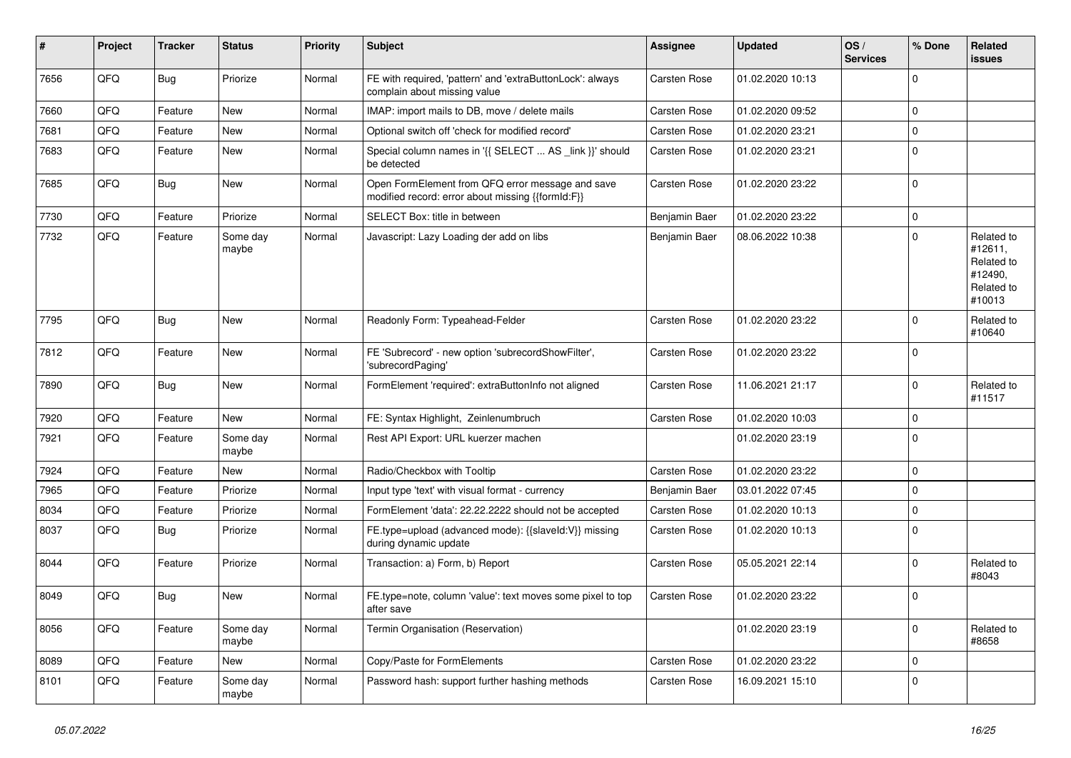| ∦    | Project | <b>Tracker</b> | <b>Status</b>     | <b>Priority</b> | <b>Subject</b>                                                                                        | Assignee            | <b>Updated</b>   | OS/<br><b>Services</b> | % Done              | Related<br><b>issues</b>                                               |
|------|---------|----------------|-------------------|-----------------|-------------------------------------------------------------------------------------------------------|---------------------|------------------|------------------------|---------------------|------------------------------------------------------------------------|
| 7656 | QFQ     | <b>Bug</b>     | Priorize          | Normal          | FE with required, 'pattern' and 'extraButtonLock': always<br>complain about missing value             | <b>Carsten Rose</b> | 01.02.2020 10:13 |                        | $\mathbf 0$         |                                                                        |
| 7660 | QFQ     | Feature        | <b>New</b>        | Normal          | IMAP: import mails to DB, move / delete mails                                                         | <b>Carsten Rose</b> | 01.02.2020 09:52 |                        | $\mathbf 0$         |                                                                        |
| 7681 | QFQ     | Feature        | New               | Normal          | Optional switch off 'check for modified record'                                                       | <b>Carsten Rose</b> | 01.02.2020 23:21 |                        | $\mathbf 0$         |                                                                        |
| 7683 | QFQ     | Feature        | New               | Normal          | Special column names in '{{ SELECT  AS _link }}' should<br>be detected                                | <b>Carsten Rose</b> | 01.02.2020 23:21 |                        | $\pmb{0}$           |                                                                        |
| 7685 | QFQ     | <b>Bug</b>     | New               | Normal          | Open FormElement from QFQ error message and save<br>modified record: error about missing {{formId:F}} | <b>Carsten Rose</b> | 01.02.2020 23:22 |                        | $\mathbf 0$         |                                                                        |
| 7730 | QFQ     | Feature        | Priorize          | Normal          | SELECT Box: title in between                                                                          | Benjamin Baer       | 01.02.2020 23:22 |                        | $\mathbf 0$         |                                                                        |
| 7732 | QFQ     | Feature        | Some day<br>maybe | Normal          | Javascript: Lazy Loading der add on libs                                                              | Benjamin Baer       | 08.06.2022 10:38 |                        | $\mathbf 0$         | Related to<br>#12611,<br>Related to<br>#12490,<br>Related to<br>#10013 |
| 7795 | QFQ     | <b>Bug</b>     | New               | Normal          | Readonly Form: Typeahead-Felder                                                                       | Carsten Rose        | 01.02.2020 23:22 |                        | $\mathbf 0$         | Related to<br>#10640                                                   |
| 7812 | QFQ     | Feature        | New               | Normal          | FE 'Subrecord' - new option 'subrecordShowFilter',<br>'subrecordPaging'                               | <b>Carsten Rose</b> | 01.02.2020 23:22 |                        | $\mathbf 0$         |                                                                        |
| 7890 | QFQ     | Bug            | New               | Normal          | FormElement 'required': extraButtonInfo not aligned                                                   | <b>Carsten Rose</b> | 11.06.2021 21:17 |                        | $\mathbf 0$         | Related to<br>#11517                                                   |
| 7920 | QFQ     | Feature        | New               | Normal          | FE: Syntax Highlight, Zeinlenumbruch                                                                  | <b>Carsten Rose</b> | 01.02.2020 10:03 |                        | $\mathbf 0$         |                                                                        |
| 7921 | QFQ     | Feature        | Some day<br>maybe | Normal          | Rest API Export: URL kuerzer machen                                                                   |                     | 01.02.2020 23:19 |                        | $\mathbf 0$         |                                                                        |
| 7924 | QFQ     | Feature        | New               | Normal          | Radio/Checkbox with Tooltip                                                                           | <b>Carsten Rose</b> | 01.02.2020 23:22 |                        | $\mathbf 0$         |                                                                        |
| 7965 | QFQ     | Feature        | Priorize          | Normal          | Input type 'text' with visual format - currency                                                       | Benjamin Baer       | 03.01.2022 07:45 |                        | $\mathbf 0$         |                                                                        |
| 8034 | QFQ     | Feature        | Priorize          | Normal          | FormElement 'data': 22.22.2222 should not be accepted                                                 | <b>Carsten Rose</b> | 01.02.2020 10:13 |                        | $\mathbf 0$         |                                                                        |
| 8037 | QFQ     | <b>Bug</b>     | Priorize          | Normal          | FE.type=upload (advanced mode): {{slaveld:V}} missing<br>during dynamic update                        | <b>Carsten Rose</b> | 01.02.2020 10:13 |                        | $\mathbf 0$         |                                                                        |
| 8044 | QFQ     | Feature        | Priorize          | Normal          | Transaction: a) Form, b) Report                                                                       | <b>Carsten Rose</b> | 05.05.2021 22:14 |                        | $\mathbf 0$         | Related to<br>#8043                                                    |
| 8049 | QFQ     | <b>Bug</b>     | New               | Normal          | FE.type=note, column 'value': text moves some pixel to top<br>after save                              | <b>Carsten Rose</b> | 01.02.2020 23:22 |                        | $\mathbf 0$         |                                                                        |
| 8056 | QFQ     | Feature        | Some day<br>maybe | Normal          | Termin Organisation (Reservation)                                                                     |                     | 01.02.2020 23:19 |                        | $\mathbf 0$         | Related to<br>#8658                                                    |
| 8089 | QFQ     | Feature        | New               | Normal          | Copy/Paste for FormElements                                                                           | Carsten Rose        | 01.02.2020 23:22 |                        | $\mathsf{O}\xspace$ |                                                                        |
| 8101 | QFQ     | Feature        | Some day<br>maybe | Normal          | Password hash: support further hashing methods                                                        | Carsten Rose        | 16.09.2021 15:10 |                        | $\mathbf 0$         |                                                                        |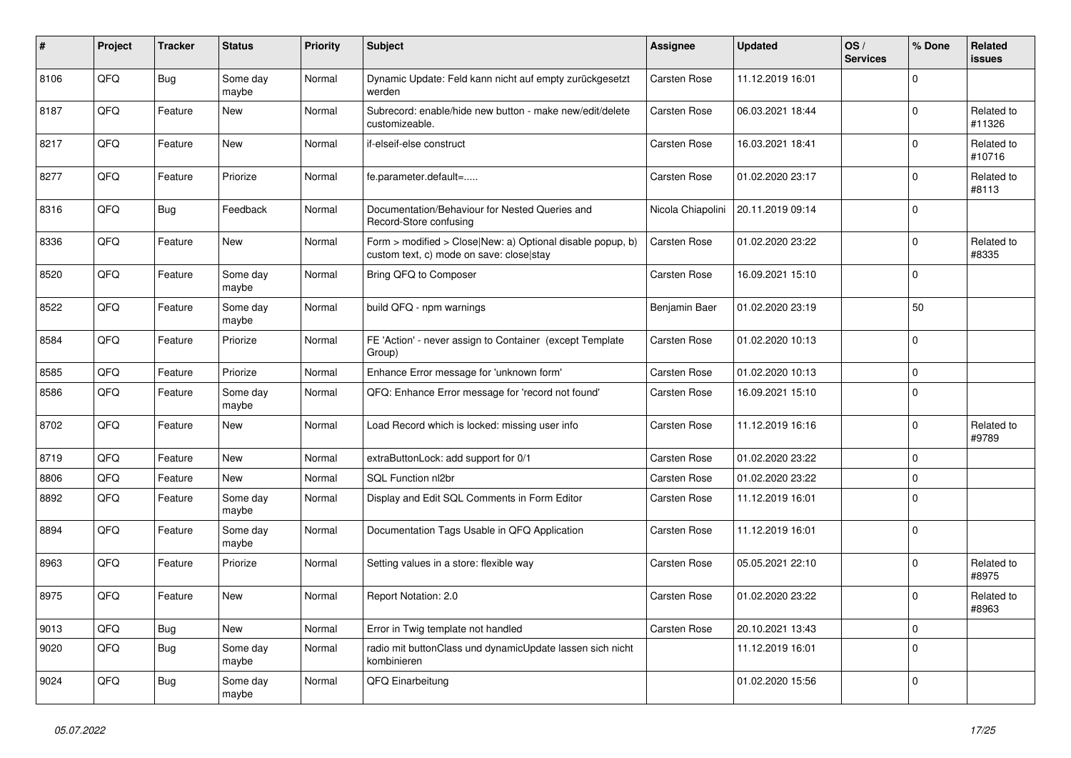| $\vert$ # | Project | <b>Tracker</b> | <b>Status</b>     | <b>Priority</b> | <b>Subject</b>                                                                                         | Assignee            | <b>Updated</b>   | OS/<br><b>Services</b> | % Done      | Related<br><b>issues</b> |
|-----------|---------|----------------|-------------------|-----------------|--------------------------------------------------------------------------------------------------------|---------------------|------------------|------------------------|-------------|--------------------------|
| 8106      | QFQ     | <b>Bug</b>     | Some day<br>maybe | Normal          | Dynamic Update: Feld kann nicht auf empty zurückgesetzt<br>werden                                      | <b>Carsten Rose</b> | 11.12.2019 16:01 |                        | $\mathbf 0$ |                          |
| 8187      | QFQ     | Feature        | New               | Normal          | Subrecord: enable/hide new button - make new/edit/delete<br>customizeable.                             | <b>Carsten Rose</b> | 06.03.2021 18:44 |                        | $\mathsf 0$ | Related to<br>#11326     |
| 8217      | QFQ     | Feature        | New               | Normal          | if-elseif-else construct                                                                               | Carsten Rose        | 16.03.2021 18:41 |                        | $\Omega$    | Related to<br>#10716     |
| 8277      | QFQ     | Feature        | Priorize          | Normal          | fe.parameter.default=                                                                                  | Carsten Rose        | 01.02.2020 23:17 |                        | $\Omega$    | Related to<br>#8113      |
| 8316      | QFQ     | <b>Bug</b>     | Feedback          | Normal          | Documentation/Behaviour for Nested Queries and<br>Record-Store confusing                               | Nicola Chiapolini   | 20.11.2019 09:14 |                        | $\mathbf 0$ |                          |
| 8336      | QFQ     | Feature        | New               | Normal          | Form > modified > Close New: a) Optional disable popup, b)<br>custom text, c) mode on save: close stay | Carsten Rose        | 01.02.2020 23:22 |                        | $\mathbf 0$ | Related to<br>#8335      |
| 8520      | QFQ     | Feature        | Some day<br>maybe | Normal          | Bring QFQ to Composer                                                                                  | <b>Carsten Rose</b> | 16.09.2021 15:10 |                        | $\mathbf 0$ |                          |
| 8522      | QFQ     | Feature        | Some day<br>maybe | Normal          | build QFQ - npm warnings                                                                               | Benjamin Baer       | 01.02.2020 23:19 |                        | 50          |                          |
| 8584      | QFQ     | Feature        | Priorize          | Normal          | FE 'Action' - never assign to Container (except Template<br>Group)                                     | <b>Carsten Rose</b> | 01.02.2020 10:13 |                        | $\mathbf 0$ |                          |
| 8585      | QFQ     | Feature        | Priorize          | Normal          | Enhance Error message for 'unknown form'                                                               | Carsten Rose        | 01.02.2020 10:13 |                        | $\mathbf 0$ |                          |
| 8586      | QFQ     | Feature        | Some day<br>maybe | Normal          | QFQ: Enhance Error message for 'record not found'                                                      | Carsten Rose        | 16.09.2021 15:10 |                        | $\mathsf 0$ |                          |
| 8702      | QFQ     | Feature        | New               | Normal          | Load Record which is locked: missing user info                                                         | Carsten Rose        | 11.12.2019 16:16 |                        | $\mathbf 0$ | Related to<br>#9789      |
| 8719      | QFQ     | Feature        | New               | Normal          | extraButtonLock: add support for 0/1                                                                   | Carsten Rose        | 01.02.2020 23:22 |                        | $\mathsf 0$ |                          |
| 8806      | QFQ     | Feature        | New               | Normal          | SQL Function nl2br                                                                                     | Carsten Rose        | 01.02.2020 23:22 |                        | $\pmb{0}$   |                          |
| 8892      | QFQ     | Feature        | Some day<br>maybe | Normal          | Display and Edit SQL Comments in Form Editor                                                           | Carsten Rose        | 11.12.2019 16:01 |                        | $\Omega$    |                          |
| 8894      | QFQ     | Feature        | Some day<br>maybe | Normal          | Documentation Tags Usable in QFQ Application                                                           | Carsten Rose        | 11.12.2019 16:01 |                        | $\mathbf 0$ |                          |
| 8963      | QFQ     | Feature        | Priorize          | Normal          | Setting values in a store: flexible way                                                                | Carsten Rose        | 05.05.2021 22:10 |                        | $\mathbf 0$ | Related to<br>#8975      |
| 8975      | QFQ     | Feature        | New               | Normal          | Report Notation: 2.0                                                                                   | <b>Carsten Rose</b> | 01.02.2020 23:22 |                        | $\mathbf 0$ | Related to<br>#8963      |
| 9013      | QFQ     | <b>Bug</b>     | New               | Normal          | Error in Twig template not handled                                                                     | Carsten Rose        | 20.10.2021 13:43 |                        | $\mathbf 0$ |                          |
| 9020      | QFQ     | <b>Bug</b>     | Some day<br>maybe | Normal          | radio mit buttonClass und dynamicUpdate lassen sich nicht<br>kombinieren                               |                     | 11.12.2019 16:01 |                        | $\mathbf 0$ |                          |
| 9024      | QFQ     | Bug            | Some day<br>maybe | Normal          | QFQ Einarbeitung                                                                                       |                     | 01.02.2020 15:56 |                        | $\mathbf 0$ |                          |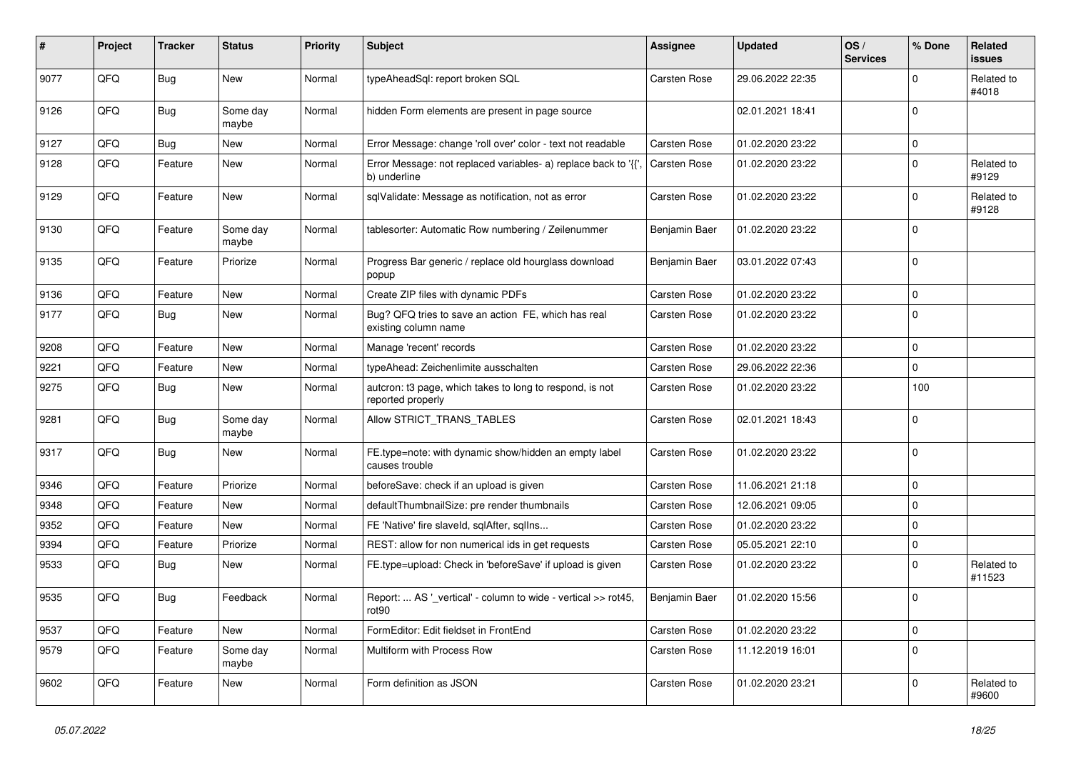| #    | Project | <b>Tracker</b> | <b>Status</b>     | <b>Priority</b> | <b>Subject</b>                                                                     | <b>Assignee</b>     | <b>Updated</b>   | OS/<br><b>Services</b> | % Done      | Related<br><b>issues</b> |
|------|---------|----------------|-------------------|-----------------|------------------------------------------------------------------------------------|---------------------|------------------|------------------------|-------------|--------------------------|
| 9077 | QFQ     | <b>Bug</b>     | New               | Normal          | typeAheadSql: report broken SQL                                                    | Carsten Rose        | 29.06.2022 22:35 |                        | $\mathbf 0$ | Related to<br>#4018      |
| 9126 | QFQ     | <b>Bug</b>     | Some day<br>maybe | Normal          | hidden Form elements are present in page source                                    |                     | 02.01.2021 18:41 |                        | $\mathbf 0$ |                          |
| 9127 | QFQ     | <b>Bug</b>     | New               | Normal          | Error Message: change 'roll over' color - text not readable                        | Carsten Rose        | 01.02.2020 23:22 |                        | $\mathbf 0$ |                          |
| 9128 | QFQ     | Feature        | New               | Normal          | Error Message: not replaced variables- a) replace back to '{{',<br>b) underline    | <b>Carsten Rose</b> | 01.02.2020 23:22 |                        | $\mathbf 0$ | Related to<br>#9129      |
| 9129 | QFQ     | Feature        | New               | Normal          | sqlValidate: Message as notification, not as error                                 | Carsten Rose        | 01.02.2020 23:22 |                        | $\mathbf 0$ | Related to<br>#9128      |
| 9130 | QFQ     | Feature        | Some day<br>maybe | Normal          | tablesorter: Automatic Row numbering / Zeilenummer                                 | Benjamin Baer       | 01.02.2020 23:22 |                        | $\mathbf 0$ |                          |
| 9135 | QFQ     | Feature        | Priorize          | Normal          | Progress Bar generic / replace old hourglass download<br>popup                     | Benjamin Baer       | 03.01.2022 07:43 |                        | $\mathbf 0$ |                          |
| 9136 | QFQ     | Feature        | New               | Normal          | Create ZIP files with dynamic PDFs                                                 | Carsten Rose        | 01.02.2020 23:22 |                        | $\mathbf 0$ |                          |
| 9177 | QFQ     | <b>Bug</b>     | New               | Normal          | Bug? QFQ tries to save an action FE, which has real<br>existing column name        | <b>Carsten Rose</b> | 01.02.2020 23:22 |                        | $\mathbf 0$ |                          |
| 9208 | QFQ     | Feature        | <b>New</b>        | Normal          | Manage 'recent' records                                                            | <b>Carsten Rose</b> | 01.02.2020 23:22 |                        | $\mathbf 0$ |                          |
| 9221 | QFQ     | Feature        | New               | Normal          | typeAhead: Zeichenlimite ausschalten                                               | Carsten Rose        | 29.06.2022 22:36 |                        | $\mathbf 0$ |                          |
| 9275 | QFQ     | <b>Bug</b>     | New               | Normal          | autcron: t3 page, which takes to long to respond, is not<br>reported properly      | <b>Carsten Rose</b> | 01.02.2020 23:22 |                        | 100         |                          |
| 9281 | QFQ     | <b>Bug</b>     | Some day<br>maybe | Normal          | Allow STRICT_TRANS_TABLES                                                          | Carsten Rose        | 02.01.2021 18:43 |                        | $\mathbf 0$ |                          |
| 9317 | QFQ     | <b>Bug</b>     | <b>New</b>        | Normal          | FE.type=note: with dynamic show/hidden an empty label<br>causes trouble            | Carsten Rose        | 01.02.2020 23:22 |                        | $\mathbf 0$ |                          |
| 9346 | QFQ     | Feature        | Priorize          | Normal          | beforeSave: check if an upload is given                                            | Carsten Rose        | 11.06.2021 21:18 |                        | $\mathbf 0$ |                          |
| 9348 | QFQ     | Feature        | New               | Normal          | defaultThumbnailSize: pre render thumbnails                                        | <b>Carsten Rose</b> | 12.06.2021 09:05 |                        | $\mathbf 0$ |                          |
| 9352 | QFQ     | Feature        | New               | Normal          | FE 'Native' fire slaveld, sqlAfter, sqlIns                                         | Carsten Rose        | 01.02.2020 23:22 |                        | $\mathbf 0$ |                          |
| 9394 | QFQ     | Feature        | Priorize          | Normal          | REST: allow for non numerical ids in get requests                                  | Carsten Rose        | 05.05.2021 22:10 |                        | $\mathbf 0$ |                          |
| 9533 | QFQ     | <b>Bug</b>     | New               | Normal          | FE.type=upload: Check in 'beforeSave' if upload is given                           | Carsten Rose        | 01.02.2020 23:22 |                        | $\mathbf 0$ | Related to<br>#11523     |
| 9535 | QFQ     | <b>Bug</b>     | Feedback          | Normal          | Report:  AS '_vertical' - column to wide - vertical >> rot45,<br>rot <sub>90</sub> | Benjamin Baer       | 01.02.2020 15:56 |                        | $\mathbf 0$ |                          |
| 9537 | QFQ     | Feature        | New               | Normal          | FormEditor: Edit fieldset in FrontEnd                                              | Carsten Rose        | 01.02.2020 23:22 |                        | $\mathbf 0$ |                          |
| 9579 | QFQ     | Feature        | Some day<br>maybe | Normal          | Multiform with Process Row                                                         | Carsten Rose        | 11.12.2019 16:01 |                        | $\mathbf 0$ |                          |
| 9602 | QFQ     | Feature        | New               | Normal          | Form definition as JSON                                                            | <b>Carsten Rose</b> | 01.02.2020 23:21 |                        | 0           | Related to<br>#9600      |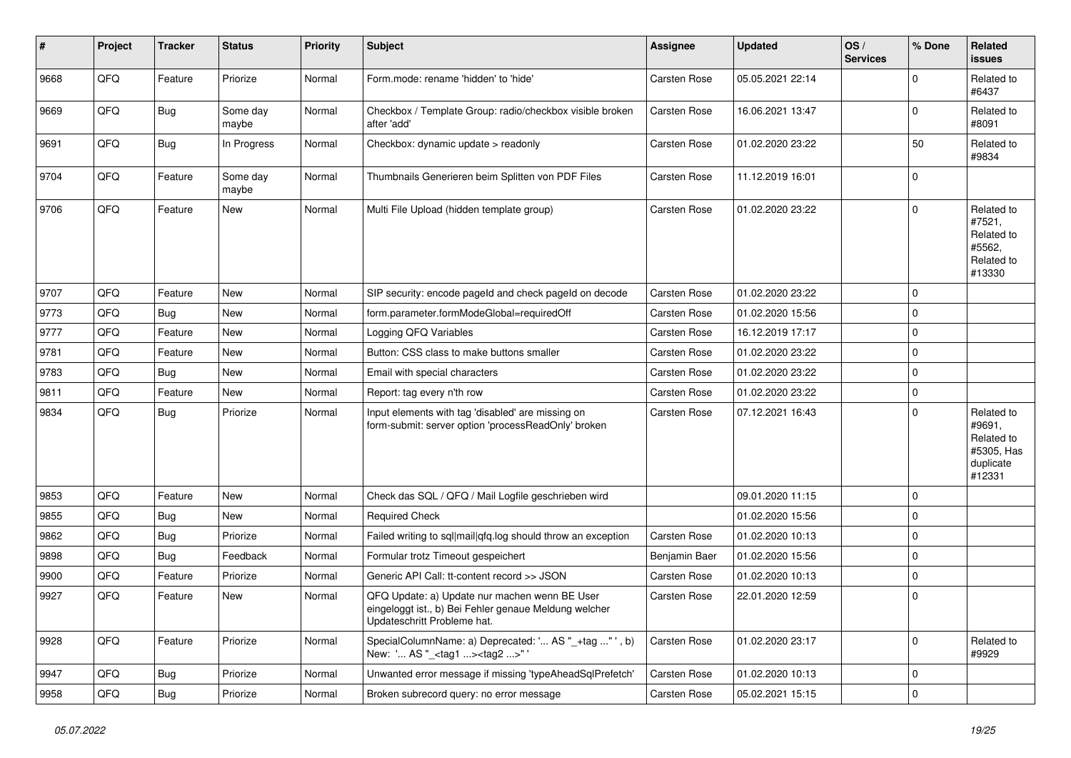| #    | Project | <b>Tracker</b> | <b>Status</b>     | <b>Priority</b> | <b>Subject</b>                                                                                                                        | <b>Assignee</b>     | <b>Updated</b>   | OS/<br><b>Services</b> | % Done      | Related<br><b>issues</b>                                                |
|------|---------|----------------|-------------------|-----------------|---------------------------------------------------------------------------------------------------------------------------------------|---------------------|------------------|------------------------|-------------|-------------------------------------------------------------------------|
| 9668 | QFQ     | Feature        | Priorize          | Normal          | Form.mode: rename 'hidden' to 'hide'                                                                                                  | <b>Carsten Rose</b> | 05.05.2021 22:14 |                        | $\Omega$    | Related to<br>#6437                                                     |
| 9669 | QFQ     | <b>Bug</b>     | Some day<br>maybe | Normal          | Checkbox / Template Group: radio/checkbox visible broken<br>after 'add'                                                               | <b>Carsten Rose</b> | 16.06.2021 13:47 |                        | $\Omega$    | Related to<br>#8091                                                     |
| 9691 | QFQ     | <b>Bug</b>     | In Progress       | Normal          | Checkbox: dynamic update > readonly                                                                                                   | <b>Carsten Rose</b> | 01.02.2020 23:22 |                        | 50          | Related to<br>#9834                                                     |
| 9704 | QFQ     | Feature        | Some day<br>maybe | Normal          | Thumbnails Generieren beim Splitten von PDF Files                                                                                     | <b>Carsten Rose</b> | 11.12.2019 16:01 |                        | $\mathbf 0$ |                                                                         |
| 9706 | QFQ     | Feature        | <b>New</b>        | Normal          | Multi File Upload (hidden template group)                                                                                             | <b>Carsten Rose</b> | 01.02.2020 23:22 |                        | $\mathbf 0$ | Related to<br>#7521,<br>Related to<br>#5562,<br>Related to<br>#13330    |
| 9707 | QFQ     | Feature        | New               | Normal          | SIP security: encode pageld and check pageld on decode                                                                                | <b>Carsten Rose</b> | 01.02.2020 23:22 |                        | $\mathbf 0$ |                                                                         |
| 9773 | QFQ     | <b>Bug</b>     | <b>New</b>        | Normal          | form.parameter.formModeGlobal=requiredOff                                                                                             | <b>Carsten Rose</b> | 01.02.2020 15:56 |                        | 0           |                                                                         |
| 9777 | QFQ     | Feature        | <b>New</b>        | Normal          | Logging QFQ Variables                                                                                                                 | <b>Carsten Rose</b> | 16.12.2019 17:17 |                        | $\mathbf 0$ |                                                                         |
| 9781 | QFQ     | Feature        | New               | Normal          | Button: CSS class to make buttons smaller                                                                                             | <b>Carsten Rose</b> | 01.02.2020 23:22 |                        | 0           |                                                                         |
| 9783 | QFQ     | Bug            | <b>New</b>        | Normal          | Email with special characters                                                                                                         | <b>Carsten Rose</b> | 01.02.2020 23:22 |                        | $\mathbf 0$ |                                                                         |
| 9811 | QFQ     | Feature        | <b>New</b>        | Normal          | Report: tag every n'th row                                                                                                            | <b>Carsten Rose</b> | 01.02.2020 23:22 |                        | $\mathbf 0$ |                                                                         |
| 9834 | QFQ     | Bug            | Priorize          | Normal          | Input elements with tag 'disabled' are missing on<br>form-submit: server option 'processReadOnly' broken                              | <b>Carsten Rose</b> | 07.12.2021 16:43 |                        | 0           | Related to<br>#9691,<br>Related to<br>#5305, Has<br>duplicate<br>#12331 |
| 9853 | QFQ     | Feature        | <b>New</b>        | Normal          | Check das SQL / QFQ / Mail Logfile geschrieben wird                                                                                   |                     | 09.01.2020 11:15 |                        | 0           |                                                                         |
| 9855 | QFQ     | <b>Bug</b>     | <b>New</b>        | Normal          | <b>Required Check</b>                                                                                                                 |                     | 01.02.2020 15:56 |                        | $\mathbf 0$ |                                                                         |
| 9862 | QFQ     | Bug            | Priorize          | Normal          | Failed writing to sql mail qfq.log should throw an exception                                                                          | <b>Carsten Rose</b> | 01.02.2020 10:13 |                        | 0           |                                                                         |
| 9898 | QFQ     | <b>Bug</b>     | Feedback          | Normal          | Formular trotz Timeout gespeichert                                                                                                    | Benjamin Baer       | 01.02.2020 15:56 |                        | 0           |                                                                         |
| 9900 | QFQ     | Feature        | Priorize          | Normal          | Generic API Call: tt-content record >> JSON                                                                                           | <b>Carsten Rose</b> | 01.02.2020 10:13 |                        | 0           |                                                                         |
| 9927 | QFQ     | Feature        | New               | Normal          | QFQ Update: a) Update nur machen wenn BE User<br>eingeloggt ist., b) Bei Fehler genaue Meldung welcher<br>Updateschritt Probleme hat. | Carsten Rose        | 22.01.2020 12:59 |                        | $\mathbf 0$ |                                                                         |
| 9928 | QFQ     | Feature        | Priorize          | Normal          | SpecialColumnName: a) Deprecated: ' AS "_+tag " ', b)<br>New: ' AS "_ <tag1><tag2>"</tag2></tag1>                                     | Carsten Rose        | 01.02.2020 23:17 |                        | $\mathbf 0$ | Related to<br>#9929                                                     |
| 9947 | QFQ     | <b>Bug</b>     | Priorize          | Normal          | Unwanted error message if missing 'typeAheadSqlPrefetch'                                                                              | Carsten Rose        | 01.02.2020 10:13 |                        | 0           |                                                                         |
| 9958 | QFQ     | <b>Bug</b>     | Priorize          | Normal          | Broken subrecord query: no error message                                                                                              | Carsten Rose        | 05.02.2021 15:15 |                        | 0           |                                                                         |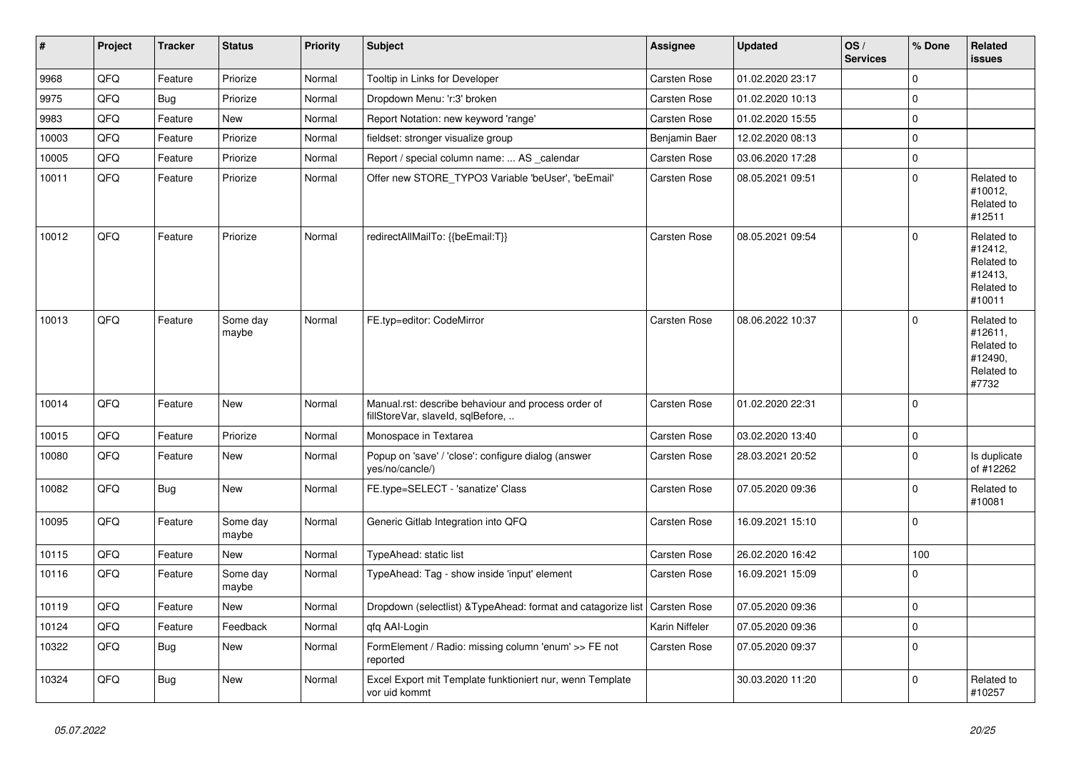| #     | Project | <b>Tracker</b> | <b>Status</b>     | <b>Priority</b> | <b>Subject</b>                                                                           | <b>Assignee</b>     | <b>Updated</b>   | OS/<br><b>Services</b> | % Done      | Related<br><b>issues</b>                                               |
|-------|---------|----------------|-------------------|-----------------|------------------------------------------------------------------------------------------|---------------------|------------------|------------------------|-------------|------------------------------------------------------------------------|
| 9968  | QFQ     | Feature        | Priorize          | Normal          | Tooltip in Links for Developer                                                           | Carsten Rose        | 01.02.2020 23:17 |                        | $\mathbf 0$ |                                                                        |
| 9975  | QFQ     | <b>Bug</b>     | Priorize          | Normal          | Dropdown Menu: 'r:3' broken                                                              | Carsten Rose        | 01.02.2020 10:13 |                        | $\mathbf 0$ |                                                                        |
| 9983  | QFQ     | Feature        | New               | Normal          | Report Notation: new keyword 'range'                                                     | Carsten Rose        | 01.02.2020 15:55 |                        | $\mathbf 0$ |                                                                        |
| 10003 | QFQ     | Feature        | Priorize          | Normal          | fieldset: stronger visualize group                                                       | Benjamin Baer       | 12.02.2020 08:13 |                        | $\mathbf 0$ |                                                                        |
| 10005 | QFQ     | Feature        | Priorize          | Normal          | Report / special column name:  AS _calendar                                              | Carsten Rose        | 03.06.2020 17:28 |                        | $\mathbf 0$ |                                                                        |
| 10011 | QFQ     | Feature        | Priorize          | Normal          | Offer new STORE_TYPO3 Variable 'beUser', 'beEmail'                                       | Carsten Rose        | 08.05.2021 09:51 |                        | $\mathbf 0$ | Related to<br>#10012,<br>Related to<br>#12511                          |
| 10012 | QFQ     | Feature        | Priorize          | Normal          | redirectAllMailTo: {{beEmail:T}}                                                         | Carsten Rose        | 08.05.2021 09:54 |                        | 0           | Related to<br>#12412,<br>Related to<br>#12413,<br>Related to<br>#10011 |
| 10013 | QFQ     | Feature        | Some day<br>maybe | Normal          | FE.typ=editor: CodeMirror                                                                | Carsten Rose        | 08.06.2022 10:37 |                        | $\mathbf 0$ | Related to<br>#12611,<br>Related to<br>#12490,<br>Related to<br>#7732  |
| 10014 | QFQ     | Feature        | <b>New</b>        | Normal          | Manual.rst: describe behaviour and process order of<br>fillStoreVar, slaveId, sqlBefore, | Carsten Rose        | 01.02.2020 22:31 |                        | $\mathbf 0$ |                                                                        |
| 10015 | QFQ     | Feature        | Priorize          | Normal          | Monospace in Textarea                                                                    | Carsten Rose        | 03.02.2020 13:40 |                        | $\pmb{0}$   |                                                                        |
| 10080 | QFQ     | Feature        | New               | Normal          | Popup on 'save' / 'close': configure dialog (answer<br>yes/no/cancle/)                   | Carsten Rose        | 28.03.2021 20:52 |                        | $\mathbf 0$ | Is duplicate<br>of #12262                                              |
| 10082 | QFQ     | <b>Bug</b>     | <b>New</b>        | Normal          | FE.type=SELECT - 'sanatize' Class                                                        | Carsten Rose        | 07.05.2020 09:36 |                        | $\mathbf 0$ | Related to<br>#10081                                                   |
| 10095 | QFQ     | Feature        | Some day<br>maybe | Normal          | Generic Gitlab Integration into QFQ                                                      | Carsten Rose        | 16.09.2021 15:10 |                        | $\mathbf 0$ |                                                                        |
| 10115 | QFQ     | Feature        | New               | Normal          | TypeAhead: static list                                                                   | <b>Carsten Rose</b> | 26.02.2020 16:42 |                        | 100         |                                                                        |
| 10116 | QFQ     | Feature        | Some day<br>maybe | Normal          | TypeAhead: Tag - show inside 'input' element                                             | Carsten Rose        | 16.09.2021 15:09 |                        | $\mathbf 0$ |                                                                        |
| 10119 | QFG     | Feature        | New               | Normal          | Dropdown (selectlist) & TypeAhead: format and catagorize list Carsten Rose               |                     | 07.05.2020 09:36 |                        | $\pmb{0}$   |                                                                        |
| 10124 | QFQ     | Feature        | Feedback          | Normal          | qfq AAI-Login                                                                            | Karin Niffeler      | 07.05.2020 09:36 |                        | $\pmb{0}$   |                                                                        |
| 10322 | QFQ     | <b>Bug</b>     | New               | Normal          | FormElement / Radio: missing column 'enum' >> FE not<br>reported                         | Carsten Rose        | 07.05.2020 09:37 |                        | $\mathbf 0$ |                                                                        |
| 10324 | QFQ     | <b>Bug</b>     | New               | Normal          | Excel Export mit Template funktioniert nur, wenn Template<br>vor uid kommt               |                     | 30.03.2020 11:20 |                        | $\pmb{0}$   | Related to<br>#10257                                                   |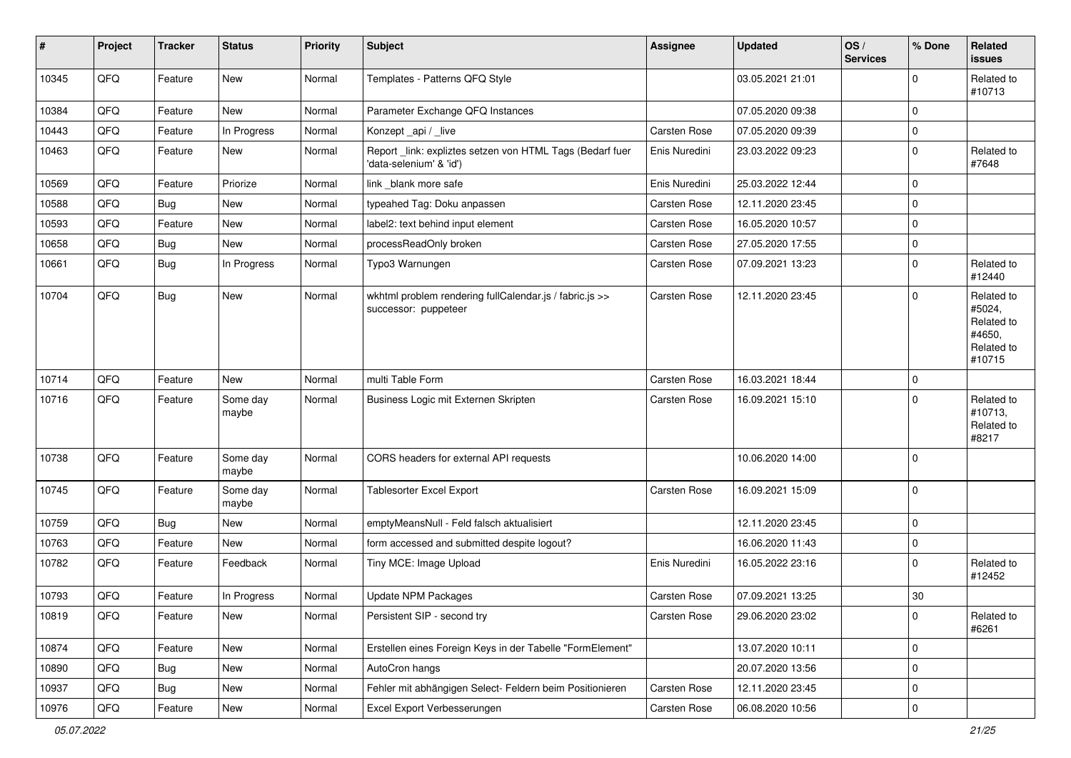| $\pmb{\#}$ | Project | <b>Tracker</b> | <b>Status</b>     | <b>Priority</b> | Subject                                                                              | <b>Assignee</b>     | <b>Updated</b>   | OS/<br><b>Services</b> | % Done      | Related<br>issues                                                    |
|------------|---------|----------------|-------------------|-----------------|--------------------------------------------------------------------------------------|---------------------|------------------|------------------------|-------------|----------------------------------------------------------------------|
| 10345      | QFQ     | Feature        | <b>New</b>        | Normal          | Templates - Patterns QFQ Style                                                       |                     | 03.05.2021 21:01 |                        | $\Omega$    | Related to<br>#10713                                                 |
| 10384      | QFQ     | Feature        | New               | Normal          | Parameter Exchange QFQ Instances                                                     |                     | 07.05.2020 09:38 |                        | $\mathbf 0$ |                                                                      |
| 10443      | QFQ     | Feature        | In Progress       | Normal          | Konzept_api / _live                                                                  | Carsten Rose        | 07.05.2020 09:39 |                        | $\mathbf 0$ |                                                                      |
| 10463      | QFQ     | Feature        | New               | Normal          | Report _link: expliztes setzen von HTML Tags (Bedarf fuer<br>'data-selenium' & 'id') | Enis Nuredini       | 23.03.2022 09:23 |                        | $\mathbf 0$ | Related to<br>#7648                                                  |
| 10569      | QFQ     | Feature        | Priorize          | Normal          | link _blank more safe                                                                | Enis Nuredini       | 25.03.2022 12:44 |                        | $\mathbf 0$ |                                                                      |
| 10588      | QFQ     | Bug            | New               | Normal          | typeahed Tag: Doku anpassen                                                          | Carsten Rose        | 12.11.2020 23:45 |                        | $\mathbf 0$ |                                                                      |
| 10593      | QFQ     | Feature        | New               | Normal          | label2: text behind input element                                                    | <b>Carsten Rose</b> | 16.05.2020 10:57 |                        | 0           |                                                                      |
| 10658      | QFQ     | <b>Bug</b>     | New               | Normal          | processReadOnly broken                                                               | <b>Carsten Rose</b> | 27.05.2020 17:55 |                        | $\mathbf 0$ |                                                                      |
| 10661      | QFQ     | Bug            | In Progress       | Normal          | Typo3 Warnungen                                                                      | <b>Carsten Rose</b> | 07.09.2021 13:23 |                        | $\mathbf 0$ | Related to<br>#12440                                                 |
| 10704      | QFQ     | <b>Bug</b>     | New               | Normal          | wkhtml problem rendering fullCalendar.js / fabric.js >><br>successor: puppeteer      | <b>Carsten Rose</b> | 12.11.2020 23:45 |                        | $\Omega$    | Related to<br>#5024,<br>Related to<br>#4650,<br>Related to<br>#10715 |
| 10714      | QFQ     | Feature        | New               | Normal          | multi Table Form                                                                     | Carsten Rose        | 16.03.2021 18:44 |                        | $\mathbf 0$ |                                                                      |
| 10716      | QFQ     | Feature        | Some day<br>maybe | Normal          | Business Logic mit Externen Skripten                                                 | <b>Carsten Rose</b> | 16.09.2021 15:10 |                        | $\mathbf 0$ | Related to<br>#10713,<br>Related to<br>#8217                         |
| 10738      | QFQ     | Feature        | Some day<br>maybe | Normal          | CORS headers for external API requests                                               |                     | 10.06.2020 14:00 |                        | l O         |                                                                      |
| 10745      | QFQ     | Feature        | Some day<br>maybe | Normal          | Tablesorter Excel Export                                                             | <b>Carsten Rose</b> | 16.09.2021 15:09 |                        | l O         |                                                                      |
| 10759      | QFQ     | <b>Bug</b>     | New               | Normal          | emptyMeansNull - Feld falsch aktualisiert                                            |                     | 12.11.2020 23:45 |                        | $\mathbf 0$ |                                                                      |
| 10763      | QFQ     | Feature        | <b>New</b>        | Normal          | form accessed and submitted despite logout?                                          |                     | 16.06.2020 11:43 |                        | $\mathbf 0$ |                                                                      |
| 10782      | QFQ     | Feature        | Feedback          | Normal          | Tiny MCE: Image Upload                                                               | Enis Nuredini       | 16.05.2022 23:16 |                        | $\Omega$    | Related to<br>#12452                                                 |
| 10793      | QFQ     | Feature        | In Progress       | Normal          | <b>Update NPM Packages</b>                                                           | <b>Carsten Rose</b> | 07.09.2021 13:25 |                        | 30          |                                                                      |
| 10819      | QFQ     | Feature        | New               | Normal          | Persistent SIP - second try                                                          | Carsten Rose        | 29.06.2020 23:02 |                        | l 0         | Related to<br>#6261                                                  |
| 10874      | QFQ     | Feature        | New               | Normal          | Erstellen eines Foreign Keys in der Tabelle "FormElement"                            |                     | 13.07.2020 10:11 |                        | l O         |                                                                      |
| 10890      | QFQ     | <b>Bug</b>     | New               | Normal          | AutoCron hangs                                                                       |                     | 20.07.2020 13:56 |                        | $\mathbf 0$ |                                                                      |
| 10937      | QFQ     | <b>Bug</b>     | New               | Normal          | Fehler mit abhängigen Select- Feldern beim Positionieren                             | Carsten Rose        | 12.11.2020 23:45 |                        | $\mathbf 0$ |                                                                      |
| 10976      | QFQ     | Feature        | New               | Normal          | Excel Export Verbesserungen                                                          | Carsten Rose        | 06.08.2020 10:56 |                        | $\mathbf 0$ |                                                                      |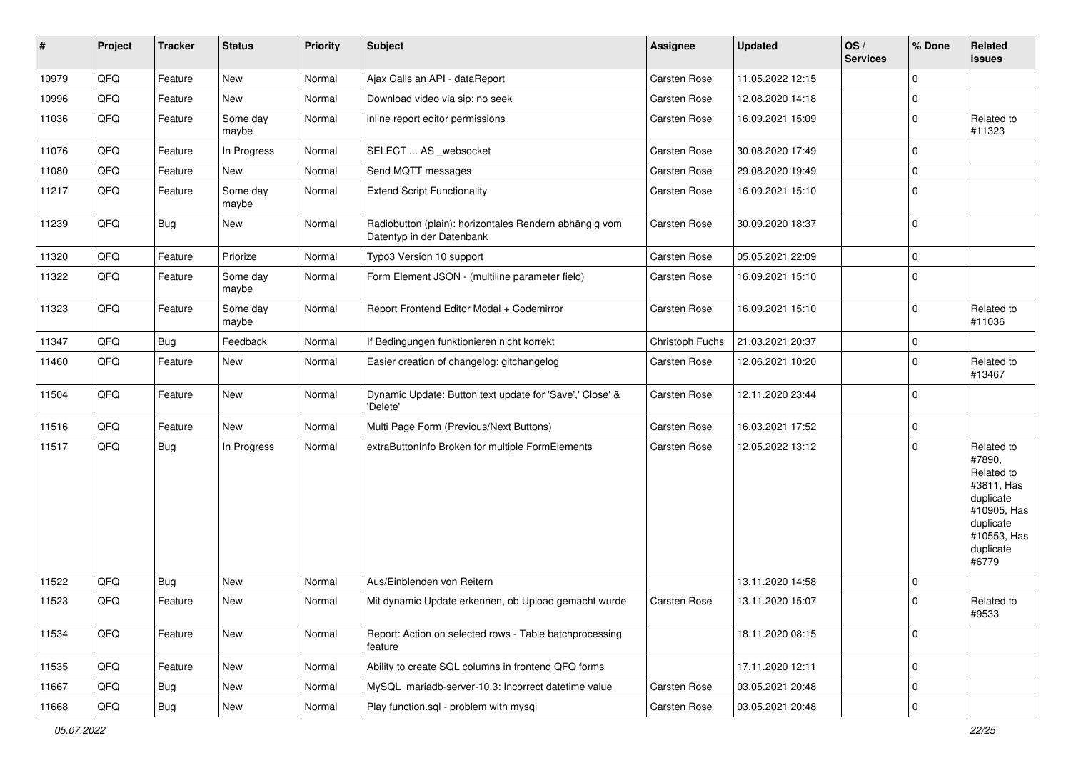| $\vert$ # | Project | <b>Tracker</b> | <b>Status</b>     | <b>Priority</b> | Subject                                                                             | <b>Assignee</b>     | <b>Updated</b>   | OS/<br><b>Services</b> | % Done      | Related<br><b>issues</b>                                                                                                       |
|-----------|---------|----------------|-------------------|-----------------|-------------------------------------------------------------------------------------|---------------------|------------------|------------------------|-------------|--------------------------------------------------------------------------------------------------------------------------------|
| 10979     | QFQ     | Feature        | <b>New</b>        | Normal          | Ajax Calls an API - dataReport                                                      | Carsten Rose        | 11.05.2022 12:15 |                        | $\Omega$    |                                                                                                                                |
| 10996     | QFQ     | Feature        | New               | Normal          | Download video via sip: no seek                                                     | <b>Carsten Rose</b> | 12.08.2020 14:18 |                        | $\mathbf 0$ |                                                                                                                                |
| 11036     | QFQ     | Feature        | Some day<br>maybe | Normal          | inline report editor permissions                                                    | Carsten Rose        | 16.09.2021 15:09 |                        | $\mathbf 0$ | Related to<br>#11323                                                                                                           |
| 11076     | QFQ     | Feature        | In Progress       | Normal          | SELECT  AS _websocket                                                               | <b>Carsten Rose</b> | 30.08.2020 17:49 |                        | $\Omega$    |                                                                                                                                |
| 11080     | QFQ     | Feature        | New               | Normal          | Send MQTT messages                                                                  | Carsten Rose        | 29.08.2020 19:49 |                        | $\Omega$    |                                                                                                                                |
| 11217     | QFQ     | Feature        | Some day<br>maybe | Normal          | <b>Extend Script Functionality</b>                                                  | <b>Carsten Rose</b> | 16.09.2021 15:10 |                        | $\mathbf 0$ |                                                                                                                                |
| 11239     | QFQ     | <b>Bug</b>     | <b>New</b>        | Normal          | Radiobutton (plain): horizontales Rendern abhängig vom<br>Datentyp in der Datenbank | <b>Carsten Rose</b> | 30.09.2020 18:37 |                        | $\mathbf 0$ |                                                                                                                                |
| 11320     | QFQ     | Feature        | Priorize          | Normal          | Typo3 Version 10 support                                                            | <b>Carsten Rose</b> | 05.05.2021 22:09 |                        | $\mathbf 0$ |                                                                                                                                |
| 11322     | QFQ     | Feature        | Some day<br>maybe | Normal          | Form Element JSON - (multiline parameter field)                                     | <b>Carsten Rose</b> | 16.09.2021 15:10 |                        | $\mathbf 0$ |                                                                                                                                |
| 11323     | QFQ     | Feature        | Some day<br>maybe | Normal          | Report Frontend Editor Modal + Codemirror                                           | <b>Carsten Rose</b> | 16.09.2021 15:10 |                        | $\mathbf 0$ | Related to<br>#11036                                                                                                           |
| 11347     | QFQ     | <b>Bug</b>     | Feedback          | Normal          | If Bedingungen funktionieren nicht korrekt                                          | Christoph Fuchs     | 21.03.2021 20:37 |                        | 0           |                                                                                                                                |
| 11460     | QFQ     | Feature        | <b>New</b>        | Normal          | Easier creation of changelog: gitchangelog                                          | Carsten Rose        | 12.06.2021 10:20 |                        | $\Omega$    | Related to<br>#13467                                                                                                           |
| 11504     | QFQ     | Feature        | <b>New</b>        | Normal          | Dynamic Update: Button text update for 'Save',' Close' &<br>'Delete'                | <b>Carsten Rose</b> | 12.11.2020 23:44 |                        | $\Omega$    |                                                                                                                                |
| 11516     | QFQ     | Feature        | <b>New</b>        | Normal          | Multi Page Form (Previous/Next Buttons)                                             | <b>Carsten Rose</b> | 16.03.2021 17:52 |                        | $\mathbf 0$ |                                                                                                                                |
| 11517     | QFQ     | Bug            | In Progress       | Normal          | extraButtonInfo Broken for multiple FormElements                                    | <b>Carsten Rose</b> | 12.05.2022 13:12 |                        | $\mathbf 0$ | Related to<br>#7890,<br>Related to<br>#3811, Has<br>duplicate<br>#10905, Has<br>duplicate<br>#10553, Has<br>duplicate<br>#6779 |
| 11522     | QFQ     | Bug            | <b>New</b>        | Normal          | Aus/Einblenden von Reitern                                                          |                     | 13.11.2020 14:58 |                        | 0           |                                                                                                                                |
| 11523     | QFQ     | Feature        | New               | Normal          | Mit dynamic Update erkennen, ob Upload gemacht wurde                                | <b>Carsten Rose</b> | 13.11.2020 15:07 |                        | $\Omega$    | Related to<br>#9533                                                                                                            |
| 11534     | QFG     | Feature        | New               | Normal          | Report: Action on selected rows - Table batchprocessing<br>feature                  |                     | 18.11.2020 08:15 |                        | $\mathbf 0$ |                                                                                                                                |
| 11535     | QFQ     | Feature        | New               | Normal          | Ability to create SQL columns in frontend QFQ forms                                 |                     | 17.11.2020 12:11 |                        | $\mathbf 0$ |                                                                                                                                |
| 11667     | QFQ     | <b>Bug</b>     | New               | Normal          | MySQL mariadb-server-10.3: Incorrect datetime value                                 | Carsten Rose        | 03.05.2021 20:48 |                        | $\mathbf 0$ |                                                                                                                                |
| 11668     | QFQ     | Bug            | New               | Normal          | Play function.sql - problem with mysql                                              | Carsten Rose        | 03.05.2021 20:48 |                        | $\mathbf 0$ |                                                                                                                                |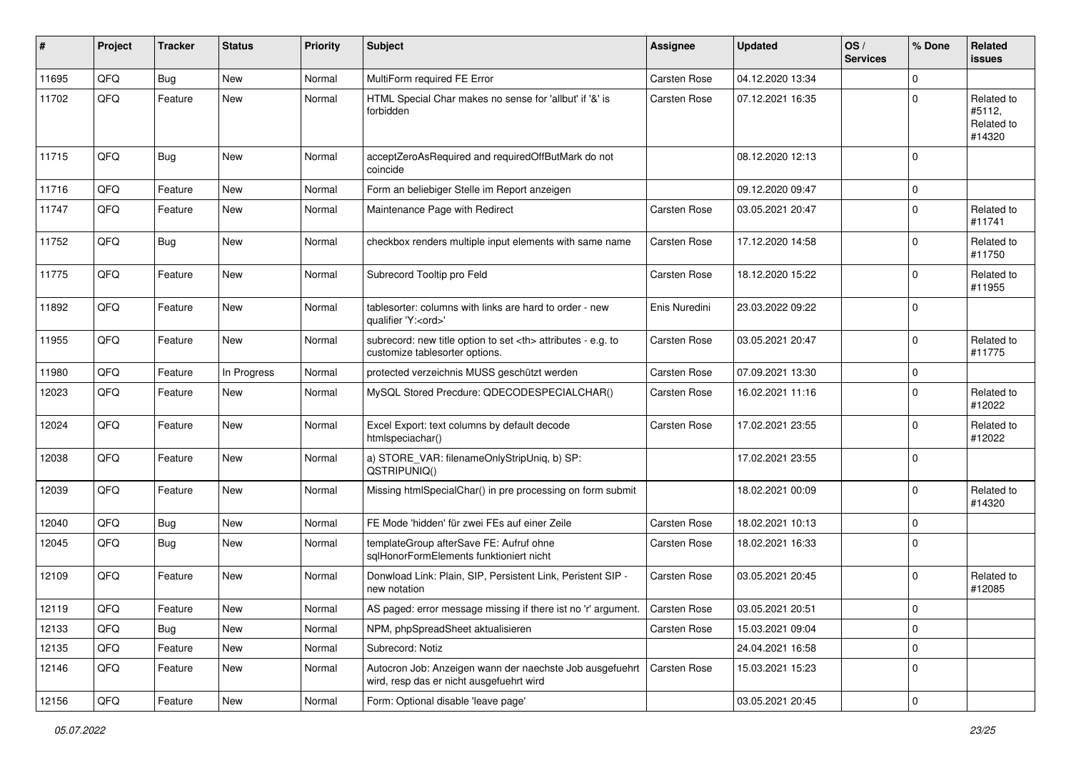| #     | Project | <b>Tracker</b> | <b>Status</b> | <b>Priority</b> | <b>Subject</b>                                                                                       | <b>Assignee</b>                                        | <b>Updated</b>      | OS/<br><b>Services</b> | % Done      | Related<br><b>issues</b>                     |                      |
|-------|---------|----------------|---------------|-----------------|------------------------------------------------------------------------------------------------------|--------------------------------------------------------|---------------------|------------------------|-------------|----------------------------------------------|----------------------|
| 11695 | QFQ     | Bug            | <b>New</b>    | Normal          | MultiForm required FE Error                                                                          | <b>Carsten Rose</b>                                    | 04.12.2020 13:34    |                        | $\Omega$    |                                              |                      |
| 11702 | QFQ     | Feature        | <b>New</b>    | Normal          | HTML Special Char makes no sense for 'allbut' if '&' is<br>forbidden                                 | <b>Carsten Rose</b>                                    | 07.12.2021 16:35    |                        | $\Omega$    | Related to<br>#5112,<br>Related to<br>#14320 |                      |
| 11715 | QFQ     | <b>Bug</b>     | New           | Normal          | acceptZeroAsRequired and requiredOffButMark do not<br>coincide                                       |                                                        | 08.12.2020 12:13    |                        | $\mathbf 0$ |                                              |                      |
| 11716 | QFQ     | Feature        | <b>New</b>    | Normal          | Form an beliebiger Stelle im Report anzeigen                                                         |                                                        | 09.12.2020 09:47    |                        | $\mathbf 0$ |                                              |                      |
| 11747 | QFQ     | Feature        | <b>New</b>    | Normal          | Maintenance Page with Redirect                                                                       | <b>Carsten Rose</b>                                    | 03.05.2021 20:47    |                        | $\mathbf 0$ | Related to<br>#11741                         |                      |
| 11752 | QFQ     | <b>Bug</b>     | <b>New</b>    | Normal          | checkbox renders multiple input elements with same name                                              | <b>Carsten Rose</b>                                    | 17.12.2020 14:58    |                        | $\Omega$    | Related to<br>#11750                         |                      |
| 11775 | QFQ     | Feature        | <b>New</b>    | Normal          | Subrecord Tooltip pro Feld                                                                           | <b>Carsten Rose</b>                                    | 18.12.2020 15:22    |                        | $\Omega$    | Related to<br>#11955                         |                      |
| 11892 | QFQ     | Feature        | <b>New</b>    | Normal          | tablesorter: columns with links are hard to order - new<br>qualifier 'Y: <ord>'</ord>                | Enis Nuredini                                          | 23.03.2022 09:22    |                        | $\mathbf 0$ |                                              |                      |
| 11955 | QFQ     | Feature        | New           | Normal          | subrecord: new title option to set <th> attributes - e.g. to<br/>customize tablesorter options.</th> | attributes - e.g. to<br>customize tablesorter options. | <b>Carsten Rose</b> | 03.05.2021 20:47       |             | $\mathbf 0$                                  | Related to<br>#11775 |
| 11980 | QFQ     | Feature        | In Progress   | Normal          | protected verzeichnis MUSS geschützt werden                                                          | Carsten Rose                                           | 07.09.2021 13:30    |                        | 0           |                                              |                      |
| 12023 | QFQ     | Feature        | New           | Normal          | MySQL Stored Precdure: QDECODESPECIALCHAR()                                                          | <b>Carsten Rose</b>                                    | 16.02.2021 11:16    |                        | $\Omega$    | Related to<br>#12022                         |                      |
| 12024 | QFQ     | Feature        | New           | Normal          | Excel Export: text columns by default decode<br>htmlspeciachar()                                     | <b>Carsten Rose</b>                                    | 17.02.2021 23:55    |                        | $\Omega$    | Related to<br>#12022                         |                      |
| 12038 | QFQ     | Feature        | <b>New</b>    | Normal          | a) STORE_VAR: filenameOnlyStripUniq, b) SP:<br>QSTRIPUNIQ()                                          |                                                        | 17.02.2021 23:55    |                        | $\mathbf 0$ |                                              |                      |
| 12039 | QFQ     | Feature        | <b>New</b>    | Normal          | Missing htmlSpecialChar() in pre processing on form submit                                           |                                                        | 18.02.2021 00:09    |                        | $\Omega$    | Related to<br>#14320                         |                      |
| 12040 | QFQ     | <b>Bug</b>     | <b>New</b>    | Normal          | FE Mode 'hidden' für zwei FEs auf einer Zeile                                                        | <b>Carsten Rose</b>                                    | 18.02.2021 10:13    |                        | $\mathbf 0$ |                                              |                      |
| 12045 | QFQ     | <b>Bug</b>     | <b>New</b>    | Normal          | templateGroup afterSave FE: Aufruf ohne<br>sqlHonorFormElements funktioniert nicht                   | <b>Carsten Rose</b>                                    | 18.02.2021 16:33    |                        | 0           |                                              |                      |
| 12109 | QFQ     | Feature        | <b>New</b>    | Normal          | Donwload Link: Plain, SIP, Persistent Link, Peristent SIP -<br>new notation                          | <b>Carsten Rose</b>                                    | 03.05.2021 20:45    |                        | $\mathbf 0$ | Related to<br>#12085                         |                      |
| 12119 | QFQ     | i Feature      | New           | Normal          | AS paged: error message missing if there ist no 'r' argument.   Carsten Rose                         |                                                        | 03.05.2021 20:51    |                        | 0           |                                              |                      |
| 12133 | QFQ     | Bug            | <b>New</b>    | Normal          | NPM, phpSpreadSheet aktualisieren                                                                    | Carsten Rose                                           | 15.03.2021 09:04    |                        | $\mathbf 0$ |                                              |                      |
| 12135 | QFQ     | Feature        | New           | Normal          | Subrecord: Notiz                                                                                     |                                                        | 24.04.2021 16:58    |                        | 0           |                                              |                      |
| 12146 | QFQ     | Feature        | New           | Normal          | Autocron Job: Anzeigen wann der naechste Job ausgefuehrt<br>wird, resp das er nicht ausgefuehrt wird | <b>Carsten Rose</b>                                    | 15.03.2021 15:23    |                        | $\mathbf 0$ |                                              |                      |
| 12156 | QFQ     | Feature        | New           | Normal          | Form: Optional disable 'leave page'                                                                  |                                                        | 03.05.2021 20:45    |                        | 0           |                                              |                      |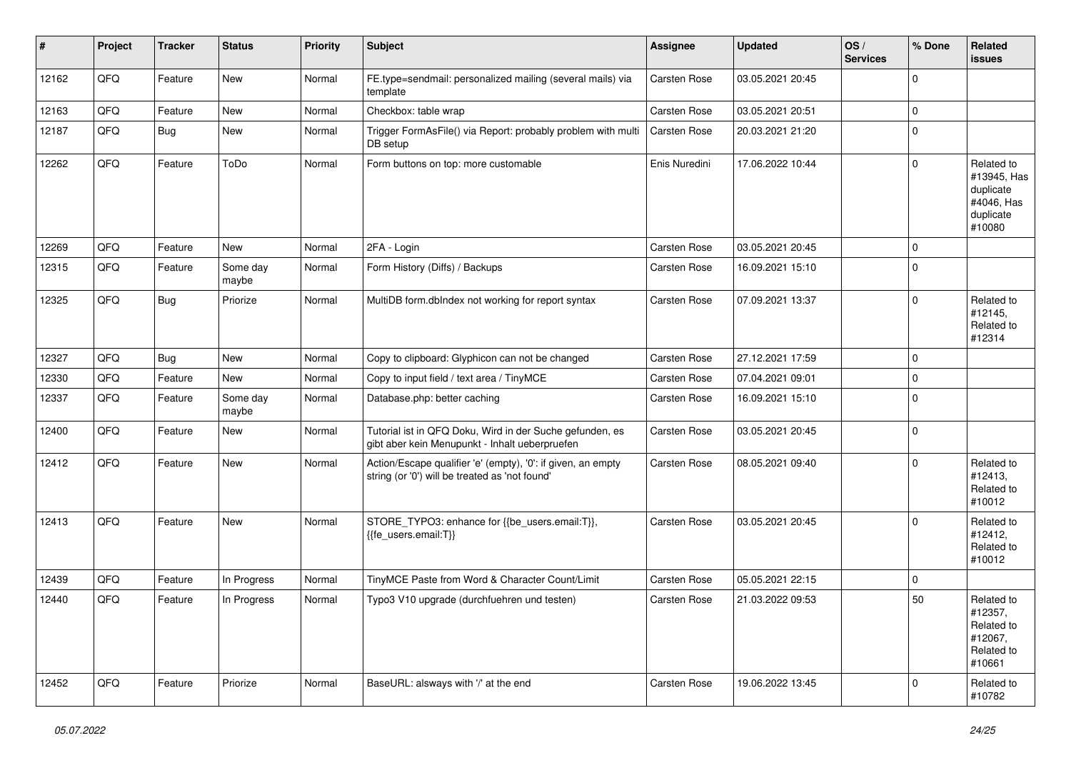| #     | Project | <b>Tracker</b> | <b>Status</b>     | <b>Priority</b> | <b>Subject</b>                                                                                                 | <b>Assignee</b>     | <b>Updated</b>   | OS/<br><b>Services</b> | % Done      | Related<br><b>issues</b>                                                    |
|-------|---------|----------------|-------------------|-----------------|----------------------------------------------------------------------------------------------------------------|---------------------|------------------|------------------------|-------------|-----------------------------------------------------------------------------|
| 12162 | QFQ     | Feature        | <b>New</b>        | Normal          | FE.type=sendmail: personalized mailing (several mails) via<br>template                                         | Carsten Rose        | 03.05.2021 20:45 |                        | $\mathbf 0$ |                                                                             |
| 12163 | QFQ     | Feature        | New               | Normal          | Checkbox: table wrap                                                                                           | Carsten Rose        | 03.05.2021 20:51 |                        | $\mathbf 0$ |                                                                             |
| 12187 | QFQ     | <b>Bug</b>     | New               | Normal          | Trigger FormAsFile() via Report: probably problem with multi<br>DB setup                                       | Carsten Rose        | 20.03.2021 21:20 |                        | $\mathbf 0$ |                                                                             |
| 12262 | QFQ     | Feature        | ToDo              | Normal          | Form buttons on top: more customable                                                                           | Enis Nuredini       | 17.06.2022 10:44 |                        | $\mathbf 0$ | Related to<br>#13945, Has<br>duplicate<br>#4046, Has<br>duplicate<br>#10080 |
| 12269 | QFQ     | Feature        | New               | Normal          | 2FA - Login                                                                                                    | Carsten Rose        | 03.05.2021 20:45 |                        | $\pmb{0}$   |                                                                             |
| 12315 | QFQ     | Feature        | Some day<br>maybe | Normal          | Form History (Diffs) / Backups                                                                                 | <b>Carsten Rose</b> | 16.09.2021 15:10 |                        | $\pmb{0}$   |                                                                             |
| 12325 | QFQ     | <b>Bug</b>     | Priorize          | Normal          | MultiDB form.dblndex not working for report syntax                                                             | Carsten Rose        | 07.09.2021 13:37 |                        | $\Omega$    | Related to<br>#12145,<br>Related to<br>#12314                               |
| 12327 | QFQ     | <b>Bug</b>     | New               | Normal          | Copy to clipboard: Glyphicon can not be changed                                                                | Carsten Rose        | 27.12.2021 17:59 |                        | $\mathbf 0$ |                                                                             |
| 12330 | QFQ     | Feature        | New               | Normal          | Copy to input field / text area / TinyMCE                                                                      | Carsten Rose        | 07.04.2021 09:01 |                        | $\mathbf 0$ |                                                                             |
| 12337 | QFQ     | Feature        | Some day<br>maybe | Normal          | Database.php: better caching                                                                                   | Carsten Rose        | 16.09.2021 15:10 |                        | $\mathbf 0$ |                                                                             |
| 12400 | QFQ     | Feature        | New               | Normal          | Tutorial ist in QFQ Doku, Wird in der Suche gefunden, es<br>gibt aber kein Menupunkt - Inhalt ueberpruefen     | <b>Carsten Rose</b> | 03.05.2021 20:45 |                        | $\mathbf 0$ |                                                                             |
| 12412 | QFQ     | Feature        | <b>New</b>        | Normal          | Action/Escape qualifier 'e' (empty), '0': if given, an empty<br>string (or '0') will be treated as 'not found' | Carsten Rose        | 08.05.2021 09:40 |                        | $\mathbf 0$ | Related to<br>#12413,<br>Related to<br>#10012                               |
| 12413 | QFQ     | Feature        | <b>New</b>        | Normal          | STORE_TYPO3: enhance for {{be_users.email:T}},<br>{{fe users.email:T}}                                         | Carsten Rose        | 03.05.2021 20:45 |                        | $\Omega$    | Related to<br>#12412,<br>Related to<br>#10012                               |
| 12439 | QFQ     | Feature        | In Progress       | Normal          | TinyMCE Paste from Word & Character Count/Limit                                                                | <b>Carsten Rose</b> | 05.05.2021 22:15 |                        | $\Omega$    |                                                                             |
| 12440 | QFQ     | Feature        | In Progress       | Normal          | Typo3 V10 upgrade (durchfuehren und testen)                                                                    | Carsten Rose        | 21.03.2022 09:53 |                        | 50          | Related to<br>#12357,<br>Related to<br>#12067,<br>Related to<br>#10661      |
| 12452 | QFQ     | Feature        | Priorize          | Normal          | BaseURL: alsways with '/' at the end                                                                           | Carsten Rose        | 19.06.2022 13:45 |                        | $\Omega$    | Related to<br>#10782                                                        |